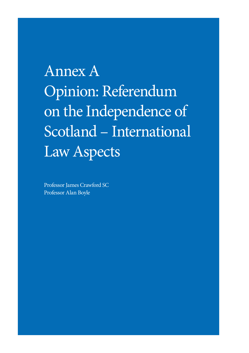Annex A Opinion: Referendum on the Independence of Scotland – International Law Aspects

Professor James Crawford SC Professor Alan Boyle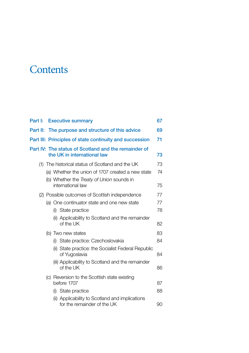## **Contents**

| Part I:  | <b>Executive summary</b>                                                            | 67 |
|----------|-------------------------------------------------------------------------------------|----|
| Part II: | The purpose and structure of this advice                                            | 69 |
|          | Part III: Principles of state continuity and succession                             | 71 |
|          | Part IV: The status of Scotland and the remainder of<br>the UK in international law | 73 |
|          | (1) The historical status of Scotland and the UK                                    | 73 |
|          | (a) Whether the union of 1707 created a new state                                   | 74 |
|          | (b) Whether the Treaty of Union sounds in<br>international law                      | 75 |
|          | (2) Possible outcomes of Scottish independence                                      | 77 |
|          | (a) One continuator state and one new state                                         | 77 |
|          | (i) State practice                                                                  | 78 |
|          | (ii) Applicability to Scotland and the remainder<br>of the UK                       | 82 |
|          | (b) Two new states                                                                  | 83 |
|          | (i) State practice: Czechoslovakia                                                  | 84 |
|          | (ii) State practice: the Socialist Federal Republic<br>of Yugoslavia                | 84 |
|          | (iii) Applicability to Scotland and the remainder<br>of the UK                      | 86 |
|          | (c) Reversion to the Scottish state existing<br>before 1707                         | 87 |
|          | (i) State practice                                                                  | 88 |
|          | (ii) Applicability to Scotland and implications<br>for the remainder of the UK      | 90 |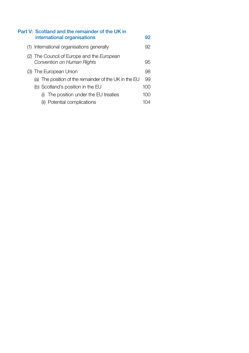| Part V: Scotland and the remainder of the UK in<br>international organisations  | 92       |
|---------------------------------------------------------------------------------|----------|
| (1) International organisations generally                                       | 92.      |
| (2) The Council of Europe and the European<br>Convention on Human Rights        | 95       |
| (3) The European Union<br>(a) The position of the remainder of the UK in the EU | 98<br>99 |
| (b) Scotland's position in the EU                                               | 100      |
| The position under the EU treaties                                              | 100      |
| (ii) Potential complications                                                    | 10 14    |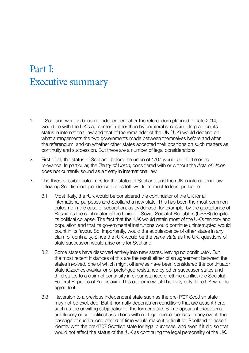## <span id="page-3-0"></span>Part I: Executive summary

- 1. If Scotland were to become independent after the referendum planned for late 2014, it would be with the UK's agreement rather than by unilateral secession. In practice, its status in international law and that of the remainder of the UK (rUK) would depend on what arrangements the two governments made between themselves before and after the referendum, and on whether other states accepted their positions on such matters as continuity and succession. But there are a number of legal considerations.
- 2. First of all, the status of Scotland before the union of 1707 would be of little or no relevance. In particular, the *Treaty of Union*, considered with or without the *Acts of Union*, does not currently sound as a treaty in international law.
- 3. The three possible outcomes for the status of Scotland and the rUK in international law following Scottish independence are as follows, from most to least probable.
	- 3.1 Most likely, the rUK would be considered the continuator of the UK for all international purposes and Scotland a new state. This has been the most common outcome in the case of separation, as evidenced, for example, by the acceptance of Russia as the continuator of the Union of Soviet Socialist Republics (USSR) despite its political collapse. The fact that the rUK would retain most of the UK's territory and population and that its governmental institutions would continue uninterrupted would count in its favour. So, importantly, would the acquiescence of other states in any claim of continuity. Since the rUK would be the *same state* as the UK, questions of state succession would arise only for Scotland.
	- 3.2 Some states have dissolved entirely into new states, leaving no continuator. But the most recent instances of this are the result either of an agreement between the states involved, one of which might otherwise have been considered the continuator state (Czechoslovakia), or of prolonged resistance by other successor states and third states to a claim of continuity in circumstances of ethnic conflict (the Socialist Federal Republic of Yugoslavia). This outcome would be likely only if the UK were to agree to it.
	- 3.3 Reversion to a previous independent state such as the pre-1707 Scottish state may not be excluded. But it normally depends on conditions that are absent here, such as the unwilling subjugation of the former state. Some apparent exceptions are illusory or are political assertions with no legal consequences. In any event, the passage of such a long period of time would make it difficult for Scotland to assert identity with the pre-1707 Scottish state for legal purposes, and even if it did so that would not affect the status of the rUK as continuing the legal personality of the UK.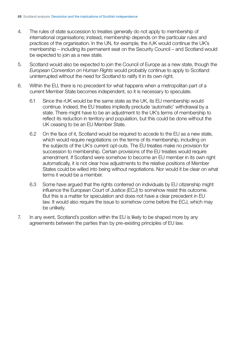- 4. The rules of state succession to treaties generally do not apply to membership of international organisations; instead, membership depends on the particular rules and practices of the organisation. In the UN, for example, the rUK would continue the UK's membership – including its permanent seat on the Security Council – and Scotland would be expected to join as a new state.
- 5. Scotland would also be expected to join the Council of Europe as a new state, though the *European Convention on Human Rights* would probably continue to apply to Scotland uninterrupted without the need for Scotland to ratify it in its own right.
- 6. Within the EU, there is no precedent for what happens when a metropolitan part of a current Member State becomes independent, so it is necessary to speculate.
	- 6.1 Since the rUK would be the same state as the UK, its EU membership would continue. Indeed, the EU treaties impliedly preclude 'automatic' withdrawal by a state. There might have to be an adjustment to the UK's terms of membership to reflect its reduction in territory and population, but this could be done without the UK ceasing to be an EU Member State.
	- 6.2 On the face of it, Scotland would be required to accede to the EU as a new state, which would require negotiations on the terms of its membership, including on the subjects of the UK's current opt-outs. The EU treaties make no provision for succession to membership. Certain provisions of the EU treaties would require amendment. If Scotland were somehow to become an EU member in its own right automatically, it is not clear how adjustments to the relative positions of Member States could be willed into being without negotiations. Nor would it be clear on what terms it would be a member.
	- 6.3 Some have argued that the rights conferred on individuals by EU citizenship might influence the European Court of Justice (ECJ) to somehow resist this outcome. But this is a matter for speculation and does not have a clear precedent in EU law. It would also require the issue to somehow come before the ECJ, which may be unlikely.
- 7. In any event, Scotland's position within the EU is likely to be shaped more by any agreements between the parties than by pre-existing principles of EU law.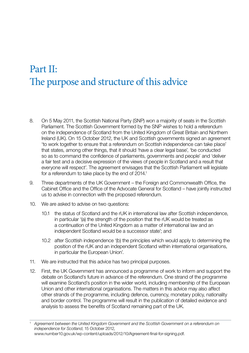# <span id="page-5-0"></span>Part II: The purpose and structure of this advice

- 8. On 5 May 2011, the Scottish National Party (SNP) won a majority of seats in the Scottish Parliament. The Scottish Government formed by the SNP wishes to hold a referendum on the independence of Scotland from the United Kingdom of Great Britain and Northern Ireland (UK). On 15 October 2012, the UK and Scottish governments signed an agreement 'to work together to ensure that a referendum on Scottish independence can take place' that states, among other things, that it should 'have a clear legal base', 'be conducted so as to command the confidence of parliaments, governments and people' and 'deliver a fair test and a decisive expression of the views of people in Scotland and a result that everyone will respect'. The agreement envisages that the Scottish Parliament will legislate for a referendum to take place by the end of 2014.<sup>1</sup>
- 9. Three departments of the UK Government the Foreign and Commonwealth Office, the Cabinet Office and the Office of the Advocate General for Scotland – have jointly instructed us to advise in connection with the proposed referendum.
- 10. We are asked to advise on two questions:
	- 10.1 the status of Scotland and the rUK in international law after Scottish independence, in particular '(a) the strength of the position that the rUK would be treated as a continuation of the United Kingdom as a matter of international law and an independent Scotland would be a successor state'; and
	- 10.2 after Scottish independence '(b) the principles which would apply to determining the position of the rUK and an independent Scotland within international organisations, in particular the European Union'.
- 11. We are instructed that this advice has two principal purposes.
- 12. First, the UK Government has announced a programme of work to inform and support the debate on Scotland's future in advance of the referendum. One strand of the programme will examine Scotland's position in the wider world, including membership of the European Union and other international organisations. The matters in this advice may also affect other strands of the programme, including defence, currency, monetary policy, nationality and border control. The programme will result in the publication of detailed evidence and analysis to assess the benefits of Scotland remaining part of the UK.

<sup>1</sup>*Agreement between the United Kingdom Government and the Scottish Government on a referendum on independence for Scotland*, 15 October 2012, [www.number10.gov.uk/wp-content/uploads/2012/10/Agreement-final-for-signing.pdf.](http://www.number10.gov.uk/wp-content/uploads/2012/10/Agreement-final-for-signing.pdf)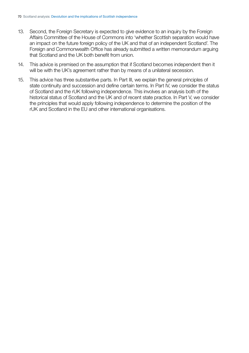- 13. Second, the Foreign Secretary is expected to give evidence to an inquiry by the Foreign Affairs Committee of the House of Commons into 'whether Scottish separation would have an impact on the future foreign policy of the UK and that of an independent Scotland'. The Foreign and Commonwealth Office has already submitted a written memorandum arguing that Scotland and the UK both benefit from union.
- 14. This advice is premised on the assumption that if Scotland becomes independent then it will be with the UK's agreement rather than by means of a unilateral secession.
- 15. This advice has three substantive parts. In Part III, we explain the general principles of state continuity and succession and define certain terms. In Part IV, we consider the status of Scotland and the rUK following independence. This involves an analysis both of the historical status of Scotland and the UK and of recent state practice. In Part V, we consider the principles that would apply following independence to determine the position of the rUK and Scotland in the EU and other international organisations.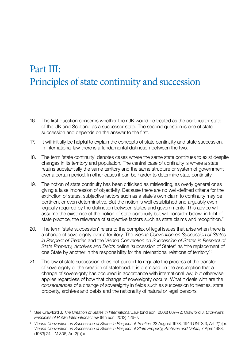# <span id="page-7-0"></span>Part III: Principles of state continuity and succession

- 16. The first question concerns whether the rUK would be treated as the continuator state of the UK and Scotland as a successor state. The second question is one of state succession and depends on the answer to the first.
- 17. It will initially be helpful to explain the concepts of state continuity and state succession. In international law there is a fundamental distinction between the two.
- 18. The term 'state continuity' denotes cases where the same state continues to exist despite changes in its territory and population. The central case of continuity is where a state retains substantially the same territory and the same structure or system of government over a certain period. In other cases it can be harder to determine state continuity.
- 19. The notion of state continuity has been criticised as misleading, as overly general or as giving a false impression of objectivity. Because there are no well-defined criteria for the extinction of states, subjective factors such as a state's own claim to continuity may be pertinent or even determinative. But the notion is well established and arguably even logically required by the distinction between states and governments. This advice will assume the existence of the notion of state continuity but will consider below, in light of state practice, the relevance of subjective factors such as state claims and recognition.<sup>2</sup>
- 20. The term 'state succession' refers to the complex of legal issues that arise when there is a change of sovereignty over a territory. The *Vienna Convention on Succession of States in Respect of Treaties* and the *Vienna Convention on Succession of States in Respect of State Property, Archives and Debts* define 'succession of States' as 'the replacement of one State by another in the responsibility for the international relations of territory'.3
- 21. The law of state succession does not purport to regulate the process of the transfer of sovereignty or the creation of statehood. It is premised on the assumption that a change of sovereignty has occurred in accordance with international law, but otherwise applies regardless of how that change of sovereignty occurs. What it deals with are the *consequences* of a change of sovereignty in fields such as succession to treaties, state property, archives and debts and the nationality of natural or legal persons.

<sup>2</sup> See Crawford J, *The Creation of States in International Law* (2nd edn, 2006) 667–72; Crawford J, *Brownlie's Principles of Public International Law* (8th edn, 2012) 426–7.

<sup>3</sup>*Vienna Convention on Succession of States in Respect of Treaties*, 23 August 1978, 1946 UNTS 3, Art 2(1)(b); *Vienna Convention on Succession of States in Respect of State Property, Archives and Debts*, 7 April 1983, (1983) 24 ILM 306, Art 2(1)(a).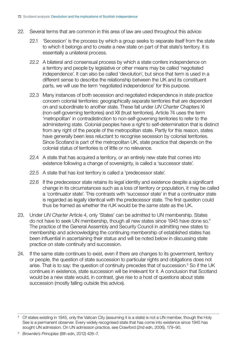- 22. Several terms that are common in this area of law are used throughout this advice:
	- 22.1 'Secession' is the process by which a group seeks to separate itself from the state to which it belongs and to create a new state on part of that state's territory. It is essentially a unilateral process.
	- 22.2 A bilateral and consensual process by which a state confers independence on a territory and people by legislative or other means may be called 'negotiated independence'. It can also be called 'devolution', but since that term is used in a different sense to describe the relationship between the UK and its constituent parts, we will use the term 'negotiated independence' for this purpose.
	- 22.3 Many instances of both secession and negotiated independence in state practice concern colonial territories: geographically separate territories that are dependent on and subordinate to another state. These fall under *UN Charter* Chapters XI (non-self-governing territories) and XII (trust territories). Article 74 uses the term 'metropolitan' in contradistinction to non-self-governing territories to refer to the administering state. Colonial peoples have a right to self-determination that is distinct from any right of the people of the metropolitan state. Partly for this reason, states have generally been less reluctant to recognise secession by colonial territories. Since Scotland is part of the metropolitan UK, state practice that depends on the colonial status of territories is of little or no relevance.
	- 22.4 A state that has acquired a territory, or an entirely new state that comes into existence following a change of sovereignty, is called a 'successor state'.
	- 22.5 A state that has lost territory is called a 'predecessor state'.
	- 22.6 If the predecessor state retains its legal identity and existence despite a significant change in its circumstances such as a loss of territory or population, it may be called a 'continuator state'. This contrasts with 'successor state' in that a continuator state is regarded as legally identical with the predecessor state. The first question could thus be framed as whether the rUK would be the *same state* as the UK.
- 23. Under *UN Charter* Article 4, only 'States' can be admitted to UN membership. States do not have to seek UN membership, though all new states since 1945 have done so.4 The practice of the General Assembly and Security Council in admitting new states to membership and acknowledging the continuing membership of established states has been influential in ascertaining their status and will be noted below in discussing state practice on state continuity and succession.
- 24. If the same state continues to exist, even if there are changes to its government, territory or people, the question of state succession to particular rights and obligations does not arise. That is to say: the question of continuity precedes that of succession.<sup>5</sup> So if the UK continues in existence, state succession will be irrelevant for it. A conclusion that Scotland would be a new state would, in contrast, give rise to a host of questions about state succession (mostly falling outside this advice).

<sup>&</sup>lt;sup>4</sup> Of states existing in 1945, only the Vatican City (assuming it is a state) is not a UN member, though the Holy See is a permanent observer. Every widely recognised state that has come into existence since 1945 has sought UN admission. On UN admission practice, see Crawford (2nd edn, 2006), 179–90.

<sup>5</sup> *Brownlie's Principles* (8th edn, 2012) 426–7.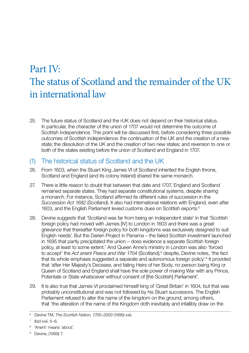# <span id="page-9-0"></span>Part IV: The status of Scotland and the remainder of the UK in international law

25. The future status of Scotland and the rUK does not depend on their historical status. In particular, the character of the union of 1707 would not determine the outcome of Scottish independence. This point will be discussed first, before considering three possible outcomes of Scottish independence: the continuation of the UK and the creation of a new state; the dissolution of the UK and the creation of two new states; and reversion to one or both of the states existing before the union of Scotland and England in 1707.

### (1) The historical status of Scotland and the UK

- 26. From 1603, when the Stuart King James VI of Scotland inherited the English throne, Scotland and England (and its colony Ireland) shared the same monarch.
- 27. There is little reason to doubt that between that date and 1707, England and Scotland remained separate states. They had separate constitutional systems, despite sharing a monarch. For instance, Scotland affirmed its different rules of succession in the *Succession Act 1682* (Scotland). It also had international relations with England, even after 1603, and the English Parliament levied customs dues on Scottish exports.6
- 28. Devine suggests that 'Scotland was far from being an independent state' in that 'Scottish foreign policy had moved with James [IV] to London in 1603 and there was a great grievance that thereafter foreign policy for both kingdoms was exclusively designed to suit English needs'. But the Darien Project in Panama – the failed Scottish investment launched in 1695 that partly precipitated the union – does evidence a separate Scottish foreign policy, at least to some extent.<sup>7</sup> And Queen Anne's ministry in London was also 'forced to accept' the Act anent Peace and War 1704 (Scotland),<sup>8</sup> despite, Devine notes, 'the fact that its whole emphasis suggested a separate and autonomous foreign policy'.<sup>9</sup> It provided that 'after Her Majesty's Decease, and failing Heirs of her Body, no person being King or Queen of Scotland and England shall have the sole power of making War with any Prince, Potentate or State whatsoever without consent of [the Scottish] Parliament'.
- 29. It is also true that James VI proclaimed himself king of 'Great Britain' in 1604, but that was probably unconstitutional and was not followed by his Stuart successors. The English Parliament refused to alter the name of the kingdom on the ground, among others, that 'the alteration of the name of the Kingdom doth inevitably and infallibly draw on the

<sup>6</sup> Devine TM, *The Scottish Nation, 1700–2000* (1999) xxii.

 $7$  Ibid xxii,  $5-6$ .

<sup>8 &#</sup>x27;Anent' means 'about'.

<sup>9</sup> Devine, (1999) 7.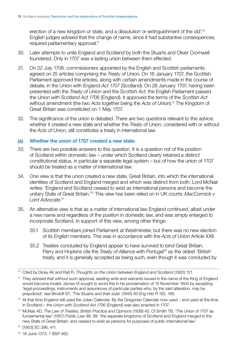<span id="page-10-0"></span>erection of a new kingdom or state, and a dissolution or extinguishment of the old'.<sup>10</sup> English judges advised that the change of name, since it had substantive consequences, required parliamentary approval.<sup>11</sup>

- 30. Later attempts to unite England and Scotland by both the Stuarts and Oliver Cromwell foundered. Only in 1707 was a lasting union between them effected.
- 31. On 22 July 1706, commissioners appointed by the English and Scottish parliaments agreed on 25 articles comprising the *Treaty of Union*. On 16 January 1707, the Scottish Parliament approved the articles, along with certain amendments made in the course of debate, in the *Union with England Act 1707* (Scotland). On 28 January 1707, having been presented with the *Treaty of Union* and the *Scottish Act*, the English Parliament passed the *Union with Scotland Act 1706* (England). It approved the terms of the *Scottish Act*  without amendment (the two Acts together being the *Acts of Union*).12 The Kingdom of Great Britain was constituted on 1 May 1707.
- 32. The significance of the union is debated. There are two questions relevant to this advice: whether it created a new state and whether the *Treaty of Union*, considered with or without the *Acts of Union*, still constitutes a treaty in international law.

#### (a) Whether the union of 1707 created a new state

- 33. There are two possible answers to this question. It is a question not of the position of Scotland within domestic law – under which Scotland clearly retained a distinct constitutional status, in particular a separate legal system – but of how the union of 1707 should be treated as a matter of *international* law.
- 34. One view is that the union created a new state, Great Britain, into which the international identities of Scotland and England merged and which was distinct from both. Lord McNair writes: 'England and Scotland ceased to exist as international persons and become the unitary State of Great Britain.'13 This view has been relied on in UK courts: *MacCormick v Lord Advocate*. 14
- 35. An alternative view is that as a matter of international law England continued, albeit under a new name and regardless of the position in domestic law, and was simply enlarged to incorporate Scotland. In support of this view, among other things:
	- 35.1 Scottish members joined Parliament at Westminster, but there was no new election of its *English* members. This was in accordance with the *Acts of Union* Article XXII.
	- 35.2 Treaties concluded by England appear to have survived to bind Great Britain. Parry and Hopkins cite the *Treaty of Alliance with Portugal*15 as the oldest 'British' treaty, and it is generally accepted as being such, even though it was concluded by

<sup>&</sup>lt;sup>10</sup> Cited by Dicey AV and Rait R, *Thoughts on the Union between England and Scotland* (1920) 121.

<sup>&</sup>lt;sup>11</sup> They advised that without such approval, existing writs and warrants issued in the name of the King of England would become invalid. James VI sought to avoid this in his proclamation of 15 November 1604 by excepting 'legal proceedings, instruments and assurances of particular parties who, by the said alteration, may be prejudiced': see Bindoff ST, 'The Stuarts and their style' (1945) 60 *Eng Hist R* 192, 195.

 $12$  At that time England still used the Julian Calendar. By the Gregorian Calendar now used – and used at the time in Scotland – the *Union with Scotland Act 1706* (England) was also enacted in 1707.

<sup>&</sup>lt;sup>13</sup> McNair AD, *The Law of Treaties: British Practice and Opinions* (1938) 40. Cf Smith TB, 'The Union of 1707 as fundamental law' (1957) *Public Law* 99, 99: 'the separate kingdoms of Scotland and England merged in the new State of Great Britain, and ceased to exist as persons for purposes of public international law'.

<sup>14 [1953]</sup> SC 396, 411.

<sup>15 16</sup> June 1373, 1 BSP 462.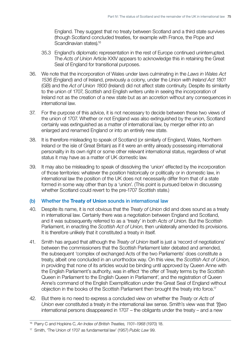<span id="page-11-0"></span>England. They suggest that no treaty between Scotland and a third state survives (though Scotland concluded treaties, for example with France, the Pope and Scandinavian states).<sup>16</sup>

- 35.3 England's diplomatic representation in the rest of Europe continued uninterrupted. The *Acts of Union* Article XXIV appears to acknowledge this in retaining the Great Seal of England for transitional purposes.
- 36. We note that the incorporation of Wales under laws culminating in the *Laws in Wales Act 1536* (England) and of Ireland, previously a colony, under the *Union with Ireland Act 1801*  (GB) and the *Act of Union 1800* (Ireland) did not affect state continuity. Despite its similarity to the union of 1707, Scottish and English writers unite in seeing the incorporation of Ireland not as the creation of a new state but as an accretion without any consequences in international law.
- 37. For the purpose of this advice, it is not necessary to decide between these two views of the union of 1707. Whether or not England was also extinguished by the union, Scotland certainly was extinguished as a matter of international law, by merger either into an enlarged and renamed England or into an entirely new state.
- 38. It is therefore misleading to speak of Scotland (or similarly of England, Wales, Northern Ireland or the isle of Great Britain) as if it were an entity already possessing international personality in its own right or some other relevant international status, regardless of what status it may have as a matter of UK domestic law.
- 39. It may also be misleading to speak of dissolving the 'union' effected by the incorporation of those territories: whatever the position historically or politically or in domestic law, in international law the position of the UK does not necessarily differ from that of a state formed in some way other than by a 'union'. (This point is pursued below in discussing whether Scotland could revert to the pre-1707 Scottish state.)

#### (b) Whether the Treaty of Union sounds in international law

- 40. Despite its name, it is not obvious that the *Treaty of Union* did and does sound as a treaty in international law. Certainly there was a negotiation between England and Scotland, and it was subsequently referred to as a 'treaty' in both *Acts of Union*. But the Scottish Parliament, in enacting the *Scottish Act of Union*, then unilaterally amended its provisions. It is therefore unlikely that it constituted a treaty in itself.
- 41. Smith has argued that although the *Treaty of Union* itself is just a 'record of negotiations' between the commissioners that the Scottish Parliament later debated and amended, the subsequent 'complex of exchanged Acts of the two Parliaments' does constitute a treaty, albeit one concluded in an unorthodox way. On this view, the *Scottish Act of Union*, in providing that none of its articles would be binding until approved by Queen Anne with the English Parliament's authority, was in effect 'the offer of Treaty terms by the Scottish Queen in Parliament to the English Queen in Parliament', and the registration of Queen Anne's command of the English Exemplification under the Great Seal of England without objection in the books of the Scottish Parliament then brought the treaty into force.17
- 42. But there is no need to express a concluded view on whether the *Treaty* or *Acts of Union* ever constituted a treaty in the international law sense. Smith's view was that '[t]wo international persons disappeared in 1707 – the obligants under the treaty – and a new

<sup>16</sup> Parry C and Hopkins C, *An Index of British Treaties, 1101–1968* (1970) 18.

<sup>17</sup> Smith, 'The Union of 1707 as fundamental law' (1957) *Public Law* 99.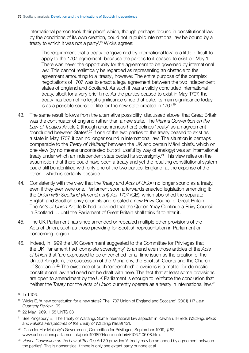international person took their place' which, though perhaps 'bound in constitutional law by the conditions of its own creation, could not in public international law be bound by a treaty to which it was not a party'.18 Wicks agrees:

The requirement that a treaty be 'governed by international law' is a little difficult to apply to the 1707 agreement, because the parties to it ceased to exist on May 1. There was never the opportunity for the agreement to be governed by international law. This cannot realistically be regarded as representing an obstacle to the agreement amounting to a 'treaty', however. The entire purpose of the complex negotiations of 1707 was to enact a legal agreement between the two independent states of England and Scotland. As such it was a validly concluded international treaty, albeit for a very brief time. As the parties ceased to exist in May 1707, the treaty has been of no legal significance since that date. Its main significance today is as a possible source of title for the new state created in 1707.<sup>19</sup>

- 43. The same result follows from the alternative possibility, discussed above, that Great Britain was the continuator of England rather than a new state. The *Vienna Convention on the Law of Treaties* Article 2 (though anachronous here) defines 'treaty' as an agreement 'concluded between States'.20 If one of the two parties to the treaty ceased to exist as a state in May 1707, it can no longer sound in international law. The situation is perhaps comparable to the *Treaty of Waitangi* between the UK and certain Maori chiefs, which on one view (by no means uncontested but still useful by way of analogy) was an international treaty under which an independent state ceded its sovereignty.<sup>21</sup> This view relies on the assumption that there could have been a treaty and yet the resulting constitutional system could still be identified with only one of the two parties, England, at the expense of the other – which is certainly possible.
- 44. Consistently with the view that the *Treaty* and *Acts of Union* no longer sound as a treaty, even if they ever were one. Parliament soon afterwards enacted legislation amending it: the Union with Scotland (Amendment) Act 1707 (GB), which abolished the separate English and Scottish privy councils and created a new Privy Council of Great Britain. The *Acts of Union* Article IX had provided that the Queen 'may Continue a Privy Council in Scotland … until the Parliament of Great Britain shall think fit to alter it'.
- 45. The UK Parliament has since amended or repealed multiple other provisions of the Acts of Union, such as those providing for Scottish representation in Parliament or concerning religion.
- 46. Indeed, in 1999 the UK Government suggested to the Committee for Privileges that the UK Parliament had 'complete sovereignty' to amend even those articles of the *Acts of Union* that 'are expressed to be entrenched for all time (such as the creation of the United Kingdom, the succession of the Monarchy, the Scottish Courts and the Church of Scotland)'.22 The existence of such 'entrenched' provisions is a matter for domestic constitutional law and need not be dealt with here. The fact that at least some provisions are open to amendment by the UK Parliament is enough to reinforce the conclusion that neither the *Treaty* nor the *Acts of Union* currently operate as a treaty in international law.23

<sup>18</sup> Ibid 106.

<sup>19</sup> Wicks E, 'A new constitution for a new state? The 1707 Union of England and Scotland' (2001) 117 *Law Quarterly Review* 109.

<sup>&</sup>lt;sup>20</sup> 22 May 1969, 1155 UNTS 331.

<sup>&</sup>lt;sup>21</sup> See Kingsbury B, 'The Treaty of Waitangi: Some international law aspects' in Kawharu IH (ed), *Waitangi: Maori and Pakeha Perspectives of the Treaty of Waitangi* (1989) 121.

<sup>&</sup>lt;sup>22</sup> Case for Her Majesty's Government, Committee for Privileges, September 1999, § 62, [www.publications.parliament.uk/pa/ld199899/ldselect/ldprivi/106i/106i08.htm.](http://www.publications.parliament.uk/pa/ld199899/ldselect/ldprivi/106i/106i08.htm) 

<sup>23</sup>*Vienna Convention on the Law of Treaties* Art 39 provides 'A treaty may be amended by agreement between the parties'. This is nonsensical if there is only one extant party or none at all.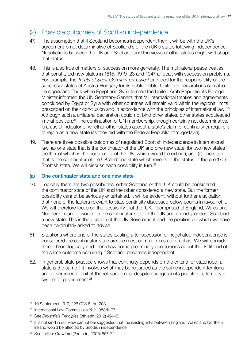## <span id="page-13-0"></span>(2) Possible outcomes of Scottish independence

- 47. The assumption that if Scotland becomes independent then it will be with the UK's agreement is not determinative of Scotland's or the rUK's status following independence. Negotiations between the UK and Scotland and the views of other states might well shape that status.
- 48. This is also true of matters of succession more generally. The multilateral peace treaties that constituted new states in 1815, 1919–23 and 1947 all dealt with succession problems. For example, the *Treaty of Saint-Germain-en-Laye<sup>24</sup>* provided for the responsibility of the successor states of Austria-Hungary for its public debts. Unilateral declarations can also be significant. Thus when Egypt and Syria formed the United Arab Republic, its Foreign Minister informed the UN Secretary-General that 'all international treaties and agreements concluded by Egypt or Syria with other countries will remain valid within the regional limits prescribed on their conclusion and in accordance with the principles of international law'.25 Although such a unilateral declaration could not bind other states, other states acquiesced in that position.<sup>26</sup> The continuation of UN membership, though certainly not determinative, is a useful indicator of whether other states accept a state's claim of continuity or require it to rejoin as a new state (as they did with the Federal Republic of Yugoslavia).
- 49. There are three possible outcomes of negotiated Scottish independence in international law: (a) one state that is the continuator of the UK and one new state; (b) two new states (neither of which is the continuator of the UK, which would be extinct); and (c) one state that is the continuator of the UK and one state which reverts to the status of the pre-1707 Scottish state. We will discuss each possibility in turn.<sup>27</sup>

#### (a) One continuator state and one new state

- 50. Logically there are two possibilities: either Scotland *or* the rUK could be considered the continuator state of the UK and the other considered a new state. But the former possibility cannot be seriously entertained. It will be evident, without further elucidation, that none of the factors relevant to state continuity discussed below counts in favour of it. We will therefore focus on the possibility that the rUK – comprised of England, Wales and Northern Ireland – would be the continuator state of the UK and an independent Scotland a new state. This is the position of the UK Government and the position on which we have been particularly asked to advise.
- 51. Situations where one of the states existing after secession or negotiated independence is considered the continuator state are the most common in state practice. We will consider them chronologically and then draw some preliminary conclusions about the likelihood of the same outcome occurring if Scotland becomes independent.
- 52. In general, state practice shows that continuity depends on the criteria for statehood: a state is the same if it involves what may be regarded as the same independent territorial and governmental unit at the relevant times, despite changes in its population, territory or system of government.<sup>28</sup>

<sup>24 10</sup> September 1919, 226 CTS 8, Art 203.

<sup>25</sup> International Law Commission *Ybk* 1958/II, 77.

<sup>26</sup> See *Brownlie's Principles* (8th edn, 2012) 424–5.

<sup>&</sup>lt;sup>27</sup> It is not (and in our view cannot be) suggested that the existing links between England, Wales and Northern Ireland would be affected by Scottish independence.

<sup>28</sup> See further Crawford (2nd edn, 2006) 667–72.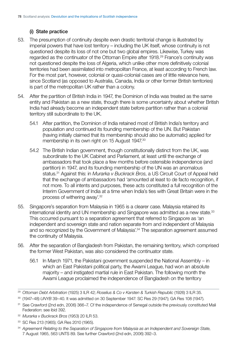### <span id="page-14-0"></span>(i) State practice

- 53. The presumption of continuity despite even drastic territorial change is illustrated by imperial powers that have lost territory – including the UK itself, whose continuity is not questioned despite its loss of not one but two global empires. Likewise, Turkey was regarded as the continuator of the Ottoman Empire after 1918.<sup>29</sup> France's continuity was not questioned despite the loss of Algeria, which unlike other more definitively colonial territories had been assimilated into metropolitan France, at least according to French law. For the most part, however, colonial or quasi-colonial cases are of little relevance here, since Scotland (as opposed to Australia, Canada, India or other former British territories) is part of the metropolitan UK rather than a colony.
- 54. After the partition of British India in 1947, the Dominion of India was treated as the same entity and Pakistan as a new state, though there is some uncertainty about whether British India had already become an independent state before partition rather than a colonial territory still subordinate to the UK.
	- 54.1 After partition, the Dominion of India retained most of British India's territory and population and continued its founding membership of the UN. But Pakistan (having initially claimed that its membership should also be automatic) applied for membership in its own right on 15 August 1947.30
	- 54.2 The British Indian government, though constitutionally distinct from the UK, was subordinate to the UK Cabinet and Parliament, at least until the exchange of ambassadors that took place a few months before ostensible independence (and partition) in 1947, and its founding membership of the UN was an anomalous status.31 Against this: in *Murarka v Buckrack Bros*, a US Circuit Court of Appeal held that the exchange of ambassadors had 'amounted at least to de facto recognition, if not more. To all intents and purposes, these acts constituted a full recognition of the Interim Government of India at a time when India's ties with Great Britain were in the process of withering away'.32
- 55. Singapore's separation from Malaysia in 1965 is a clearer case. Malaysia retained its international identity and UN membership and Singapore was admitted as a new state.<sup>33</sup> This occurred pursuant to a separation agreement that referred to Singapore as 'an independent and sovereign state and nation separate from and independent of Malaysia and so recognized by the Government of Malaysia<sup>', 34</sup> The separation agreement assumed the continuity of Malaysia.
- 56. After the separation of Bangladesh from Pakistan, the remaining territory, which comprised the former West Pakistan, was also considered the continuator state.
	- 56.1 In March 1971, the Pakistani government suspended the National Assembly in which an East Pakistani political party, the Awami League, had won an absolute majority – and instigated martial rule in East Pakistan. The following month the Awami League proclaimed the independence of Bangladesh on the territory

<sup>29</sup>*Ottoman Debt Arbitration* (1925) 3 ILR 42; *Roselius & Co v Karsten & Turkish Republic* (1926) 3 ILR 35.

 30 (1947–48) *UNYB* 39–40. It was admitted on 30 September 1947: SC Res 29 (1947); GA Res 108 (1947).

<sup>&</sup>lt;sup>31</sup> See Crawford (2nd edn, 2006) 366–7. Cf the independence of Senegal outside the previously constituted Mali Federation: see ibid 392.

<sup>32</sup>*Murarka v Buckrack Bros* (1953) 20 ILR 53.

<sup>33</sup> SC Res 213 (1965); GA Res 2010 (1965).

<sup>34</sup>*Agreement Relating to the Separation of Singapore from Malaysia as an Independent and Sovereign State*, 7 August 1965, 563 UNTS 89. See further Crawford (2nd edn, 2006) 392–3.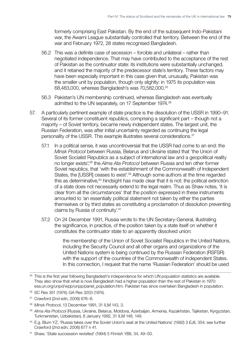formerly comprising East Pakistan. By the end of the subsequent Indo-Pakistani war, the Awami League substantially controlled that territory. Between the end of the war and February 1972, 28 states recognised Bangladesh.

- 56.2 This was a definite case of secession forcible and unilateral rather than negotiated independence. That may have contributed to the acceptance of the rest of Pakistan as the continuator state: its institutions were substantially unchanged, and it retained the majority of the predecessor state's territory. These factors may have been especially important in this case given that, unusually, Pakistan was the smaller unit by population, though only slightly: in 1975 its population was 68,483,000, whereas Bangladesh's was 70,582,000.35
- 56.3 Pakistan's UN membership continued, whereas Bangladesh was eventually admitted to the UN separately, on 17 September 1974.<sup>36</sup>
- 57. A particularly pertinent example of state practice is the dissolution of the USSR in 1990–91. Several of its former constituent republics, comprising a significant part – though not a majority – of Soviet territory, became newly independent states. The largest unit, the Russian Federation, was after initial uncertainty regarded as continuing the legal personality of the USSR. This example illustrates several considerations.<sup>37</sup>
	- 57.1 In a political sense, it was uncontroversial that the USSR had come to an end: the *Minsk Protocol* between Russia, Belarus and Ukraine stated that 'the Union of Soviet Socialist Republics as a subject of international law and a geopolitical reality no longer exists';38 the *Alma Ata Protocol* between Russia and ten other former Soviet republics, that 'with the establishment of the Commonwealth of Independent States, the [USSR] ceases to exist<sup>', 39</sup> Although some authors at the time regarded this as determinative,<sup>40</sup> hindsight has made clear that it is not: the political extinction of a state does not necessarily extend to the legal realm. Thus as Shaw notes, 'it is clear from all the circumstances' that the position expressed in these instruments amounted to 'an essentially political statement not taken by either the parties themselves or by third states as constituting a proclamation of dissolution preventing claims by Russia of continuity'.41
	- 57.2 On 24 December 1991, Russia wrote to the UN Secretary-General, illustrating the significance, in practice, of the position taken by a state itself on whether it constitutes the continuator state to an apparently dissolved union:

the membership of the Union of Soviet Socialist Republics in the United Nations, including the Security Council and all other organs and organizations of the United Nations system is being continued by the Russian Federation (RSFSR) with the support of the countries of the Commonwealth of Independent States. In this connection, I request that the name 'Russian Federation' should be used

- 37 Crawford (2nd edn, 2006) 676–8.
- <sup>38</sup>*Minsk Protocol*, 13 December 1991, 31 ILM 143, 3.
- <sup>39</sup>*Alma Ata Protocol* (Russia, Ukraine, Belarus, Moldova, Azerbaijan, Armenia, Kazakhstan, Tajikistan, Kyrgyzstan, Turkmenistan, Uzbekistan), 8 January 1992, 31 ILM 148, 149.
- 40 E.g. Blum YZ, 'Russia takes over the Soviet Union's seat at the United Nations' (1992) 3 *EJIL* 354; see further Crawford (2nd edn, 2006) 677 n 41.
- <sup>41</sup> Shaw, 'State succession revisited' (1994) 5 *Finnish YBIL* 34, 49–50.

<sup>35</sup> This is the first year following Bangladesh's independence for which UN population statistics are available. They also show that what is now Bangladesh had a higher population than the rest of Pakistan in 1970: [esa.un.org/unpd/wpp/unpp/panel\\_population.htm.](http://esa.un.org/unpd/wpp/unpp/panel_population.htm.) Pakistan has since overtaken Bangladesh in population.

<sup>36</sup> SC Res 351 (1974); GA Res 3203 (1974).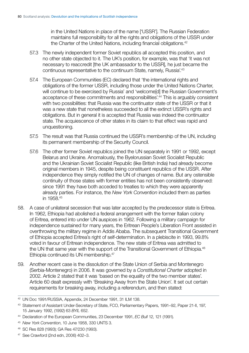in the United Nations in place of the name ['USSR']. The Russian Federation maintains full responsibility for all the rights and obligations of the USSR under the Charter of the United Nations, including financial obligations.<sup>42</sup>

- 57.3 The newly independent former Soviet republics all accepted this position. and no other state objected to it. The UK's position, for example, was that 'it was not necessary to reaccredit [the UK ambassador to the USSR], he just became the continuous representative to the continuum State, namely, Russia'.43
- 57.4 The European Communities (EC) declared that 'the international rights and obligations of the former USSR, including those under the United Nations Charter, will continue to be exercised by Russia' and 'welcome[d] the Russian Government's acceptance of these commitments and responsibilities'.<sup>44</sup> This is arguably consistent with two possibilities: that Russia was the continuator state of the USSR or that it was a new state that nonetheless succeeded to all the extinct USSR's rights and obligations. But in general it is accepted that Russia was indeed the continuator state. The acquiescence of other states in its claim to that effect was rapid and unquestioning.
- 57.5 The result was that Russia continued the USSR's membership of the UN, including its permanent membership of the Security Council.
- 57.6 The other former Soviet republics joined the UN separately in 1991 or 1992, except Belarus and Ukraine. Anomalously, the Byelorussian Soviet Socialist Republic and the Ukrainian Soviet Socialist Republic (like British India) had already become original members in 1945, despite being constituent republics of the USSR. After independence they simply notified the UN of changes of name. But any ostensible continuity of those states with former entities has not been consistently observed: since 1991 they have both acceded to treaties to which they were apparently already parties. For instance, the *New York Convention* included them as parties in 1958.45
- 58. A case of unilateral secession that was later accepted by the predecessor state is Eritrea. In 1962, Ethiopia had abolished a federal arrangement with the former Italian colony of Eritrea, entered into under UN auspices in 1962. Following a military campaign for independence sustained for many years, the Eritrean People's Liberation Front assisted in overthrowing the military regime in Addis Ababa. The subsequent Transitional Government of Ethiopia accepted Eritrea's right of self-determination. In a plebiscite in 1993, 99.8% voted in favour of Eritrean independence. The new state of Eritrea was admitted to the UN that same year with the support of the Transitional Government of Ethiopia.<sup>46</sup> Ethiopia continued its UN membership.<sup>47</sup>
- 59. Another recent case is the dissolution of the State Union of Serbia and Montenegro (Serbia-Montenegro) in 2006. It was governed by a *Constitutional Charter* adopted in 2002. Article 2 stated that it was 'based on the equality of the two member states'. Article 60 dealt expressly with 'Breaking Away from the State Union'. It set out certain requirements for breaking away, including a referendum, and then stated:

<sup>42</sup> UN Doc 1991/RUSSIA, Appendix, 24 December 1991, 31 ILM 138.

<sup>43</sup> Statement of Assistant Under-Secretary of State, FCO, Parliamentary Papers, 1991–92, Paper 21-II, 197, 15 January 1992, (1992) 63 *BYIL* 652.

<sup>44</sup> Declaration of the European Communities, 23 December 1991, *EC Bull* 12, 121 (1991).

<sup>45</sup>*New York Convention*, 10 June 1958, 330 UNTS 3.

<sup>46</sup> SC Res 828 (1993); GA Res 47/230 (1993).

<sup>47</sup> See Crawford (2nd edn, 2006) 402–3.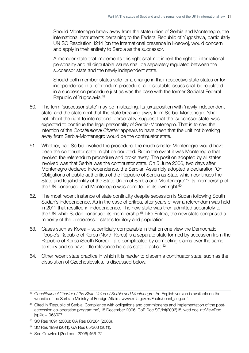Should Montenegro break away from the state union of Serbia and Montenegro, the international instruments pertaining to the Federal Republic of Yugoslavia, particularly UN SC Resolution 1244 [on the international presence in Kosovo], would concern and apply in their entirety to Serbia as the successor.

A member state that implements this right shall not inherit the right to international personality and all disputable issues shall be separately regulated between the successor state and the newly independent state.

Should both member states vote for a change in their respective state status or for independence in a referendum procedure, all disputable issues shall be regulated in a succession procedure just as was the case with the former Socialist Federal Republic of Yugoslavia.48

- 60. The term 'successor state' may be misleading. Its juxtaposition with 'newly independent state' and the statement that the state breaking away from Serbia-Montenegro 'shall not inherit the right to international personality' suggest that the 'successor state' was expected to continue the legal personality of Serbia-Montenegro. That is to say: the intention of the *Constitutional Charter* appears to have been that the unit not breaking away from Serbia-Montenegro would be the continuator state.
- 61. Whether, had Serbia invoked the procedure, the much smaller Montenegro would have been the continuator state might be doubted. But in the event it was Montenegro that invoked the referendum procedure and broke away. The position adopted by all states involved was that Serbia was the continuator state. On 5 June 2006, two days after Montenegro declared independence, the Serbian Assembly adopted a declaration 'On Obligations of public authorities of the Republic of Serbia as State which continues the State and legal identity of the State Union of Serbia and Montenegro'.<sup>49</sup> Its membership of the UN continued, and Montenegro was admitted in its own right.<sup>50</sup>
- 62. The most recent instance of state continuity despite secession is Sudan following South Sudan's independence. As in the case of Eritrea, after years of war a referendum was held in 2011 that resulted in independence. The new state was then admitted separately to the UN while Sudan continued its membership.<sup>51</sup> Like Eritrea, the new state comprised a minority of the predecessor state's territory and population.
- 63. Cases such as Korea superficially comparable in that on one view the Democratic People's Republic of Korea (North Korea) is a separate state formed by secession from the Republic of Korea (South Korea) – are complicated by competing claims over the same territory and so have little relevance here as state practice.<sup>52</sup>
- 64. Other recent state practice in which it is harder to discern a continuator state, such as the dissolution of Czechoslovakia, is discussed below.

<sup>&</sup>lt;sup>48</sup> Constitutional Charter of the State Union of Serbia and Montenegro. An English version is available on the website of the Serbian Ministry of Foreign Affairs: [www.mfa.gov.rs/Facts/const\\_scg.pdf.](http://www.mfa.gov.rs/Facts/const_scg.pdf) 

<sup>&</sup>lt;sup>49</sup> Cited in 'Republic of Serbia: Compliance with obligations and commitments and implementation of the post[accession co-operation programme', 18 December 2006, CoE Doc SG/Inf\(2006\)15, wcd.coe.int/ViewDoc.](https://wcd.coe.int/ViewDoc.jsp?id=1068027) jsp?id=1068027.

<sup>50</sup> SC Res 1691 (2006); GA Res 60/264 (2006).

<sup>51</sup> SC Res 1999 (2011); GA Res 65/308 (2011).

<sup>52</sup> See Crawford (2nd edn, 2006) 466–72.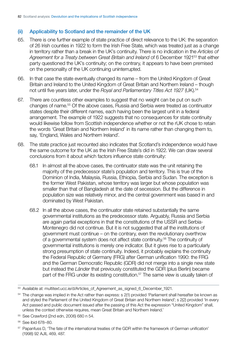#### <span id="page-18-0"></span>(ii) Applicability to Scotland and the remainder of the UK

- 65. There is one further example of state practice of direct relevance to the UK: the separation of 26 Irish counties in 1922 to form the Irish Free State, which was treated just as a change in territory rather than a break in the UK's continuity. There is no indication in the *Articles of Agreement for a Treaty between Great Britain and Ireland* of 6 December 192153 that either party questioned the UK's continuity; on the contrary, it appears to have been premised on the personality of the UK continuing uninterrupted.
- 66. In that case the state eventually changed its name from the United Kingdom of Great Britain and Ireland to the United Kingdom of Great Britain and Northern Ireland – though not until five years later, under the *Royal and Parliamentary Titles Act 1927* (UK).54
- 67. There are countless other examples to suggest that no weight can be put on such changes of name.55 Of the above cases, Russia and Serbia were treated as continuator states despite their different names, each having been the largest unit in a federal arrangement. The example of 1922 suggests that no consequences for state continuity would likewise follow from Scottish independence whether or not the rUK chose to retain the words 'Great Britain and Northern Ireland' in its name rather than changing them to, say, 'England, Wales and Northern Ireland'.
- 68. The state practice just recounted also indicates that Scotland's independence would have the same outcome for the UK as the Irish Free State's did in 1922. We can draw several conclusions from it about which factors influence state continuity:
	- 68.1 In almost all the above cases, the continuator state was the unit retaining the majority of the predecessor state's population and territory. This is true of the Dominion of India, Malaysia, Russia, Ethiopia, Serbia and Sudan. The exception is the former West Pakistan, whose territory was larger but whose population was smaller than that of Bangladesh at the date of secession. But the difference in population size was relatively minor, and the central government was based in and dominated by West Pakistan.
	- 68.2 In all the above cases, the continuator state retained substantially the same governmental institutions as the predecessor state. Arguably, Russia and Serbia are again partial exceptions in that the constitutions of the USSR and Serbia-Montenegro did not continue. But it is not suggested that *all* the institutions of government must continue – on the contrary, even the revolutionary overthrow of a governmental system does not affect state continuity.56 The continuity of governmental institutions is merely one indicator. But it gives rise to a particularly strong presumption of state continuity. Indeed, it probably explains the continuity the Federal Republic of Germany (FRG) after German unification 1990: the FRG and the German Democratic Republic (GDR) did not merge into a single new state but instead the *Länder* that previously constituted the GDR (plus Berlin) became part of the FRG under its existing constitution.<sup>57</sup> The same view is usually taken of

<sup>53</sup> Available at: [multitext.ucc.ie/d/Articles\\_of\\_Agreement\\_as\\_signed\\_6\\_December\\_1921.](multitext.ucc.ie/d/Articles_of_Agreement_as_signed_6_December_1921)

<sup>&</sup>lt;sup>54</sup> The change was implied in the Act rather than express: s 2(1) provided 'Parliament shall hereafter be known as and styled the Parliament of the United Kingdom of Great Britain and Northern Ireland'; s 2(2) provided 'In every Act passed and public document issued after the passing of this Act the expression "United Kingdom" shall, unless the context otherwise requires, mean Great Britain and Northern Ireland.'

<sup>55</sup> See Crawford (2nd edn, 2006) 680 n 54.

<sup>56</sup> See ibid 678–80.

<sup>&</sup>lt;sup>57</sup> Papanfuss D, 'The fate of the international treaties of the GDR within the framework of German unification' (1998) 92 AJIL 469, 487.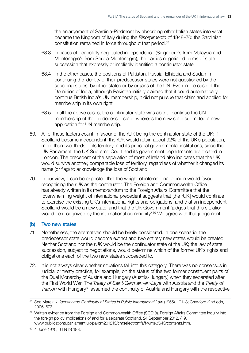<span id="page-19-0"></span>the enlargement of Sardinia-Piedmont by absorbing other Italian states into what became the Kingdom of Italy during the *Risorgimento* of 1848–70: the Sardinian constitution remained in force throughout that period.58

- 68.3 In cases of peacefully negotiated independence (Singapore's from Malaysia and Montenegro's from Serbia-Montenegro), the parties negotiated terms of state succession that expressly or impliedly identified a continuator state.
- 68.4 In the other cases, the positions of Pakistan, Russia, Ethiopia and Sudan in continuing the identity of their predecessor states were not questioned by the seceding states, by other states or by organs of the UN. Even in the case of the Dominion of India, although Pakistan initially claimed that it could automatically continue British India's UN membership, it did not pursue that claim and applied for membership in its own right.
- 68.5 In all the above cases, the continuator state was able to continue the UN membership of the predecessor state, whereas the new state submitted a new application for UN membership.
- 69. All of these factors count in favour of the rUK being the continuator state of the UK: if Scotland became independent, the rUK would retain about 92% of the UK's population, more than two-thirds of its territory, and its principal governmental institutions, since the UK Parliament, the UK Supreme Court and its government departments are located in London. The precedent of the separation of most of Ireland also indicates that the UK would survive another, comparable loss of territory, regardless of whether it changed its name (or flag) to acknowledge the loss of Scotland.
- 70. In our view, it can be expected that the weight of international opinion would favour recognising the rUK as the continuator. The Foreign and Commonwealth Office has already written in its memorandum to the Foreign Affairs Committee that the 'overwhelming weight of international precedent suggests that [the rUK] would continue to exercise the existing UK's international rights and obligations, and that an independent Scotland would be a new state' and that the UK Government 'judges that this situation would be recognized by the international community'.<sup>59</sup> We agree with that judgement.

#### (b) Two new states

- 71. Nonetheless, the alternatives should be briefly considered. In one scenario, the predecessor state would become extinct and two entirely new states would be created. Neither Scotland nor the rUK would be the continuator state of the UK; the law of state succession, subject to negotiations, would determine which of the former UK's rights and obligations each of the two new states succeeded to.
- 72. It is not always clear whether situations fall into this category. There was no consensus in judicial or treaty practice, for example, on the status of the two former constituent parts of the Dual Monarchy of Austria and Hungary (Austria-Hungary) when they separated after the First World War. The *Treaty of Saint-Germain-en-Laye* with Austria and the *Treaty of Trianon* with Hungary<sup>60</sup> assumed the continuity of Austria and Hungary with the respective

<sup>58</sup> See Marek K, *Identity and Continuity of States in Public International Law* (1955), 191–8; Crawford (2nd edn, 2006) 673.

<sup>59</sup> Written evidence from the Foreign and Commonwealth Office (SCO 8), Foreign Affairs Committee inquiry into the foreign policy implications of and for a separate Scotland, 24 September 2012, § 9, [www.publications.parliament.uk/pa/cm201213/cmselect/cmfaff/writev/643/contents.htm.](http://www.publications.parliament.uk/pa/cm201213/cmselect/cmfaff/writev/643/contents.htm) 

<sup>60 4</sup> June 1920, 6 LNTS 188.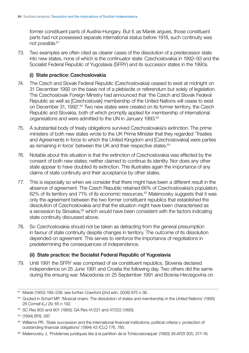<span id="page-20-0"></span>former constituent parts of Austria-Hungary. But if, as Marek argues, those constituent parts had not possessed separate international status before 1918, such continuity was not possible.<sup>61</sup>

73. Two examples are often cited as clearer cases of the dissolution of a predecessor state into new states, none of which is the continuator state: Czechoslovakia in 1992–93 and the Socialist Federal Republic of Yugoslavia (SFRY) and its successor states in the 1990s.

#### (i) State practice: Czechoslovakia

- 74. The Czech and Slovak Federal Republic (Czechoslovakia) ceased to exist at midnight on 31 December 1992 on the basis not of a plebiscite or referendum but solely of legislation. The Czechoslovak Foreign Ministry had announced that 'the Czech and Slovak Federal Republic as well as [Czechoslovak] membership of the United Nations will cease to exist on December 31, 1992'.<sup>62</sup> Two new states were created on its former territory, the Czech Republic and Slovakia, both of which promptly applied for membership of international organisations and were admitted to the UN in January 1993.<sup>63</sup>
- 75. A substantial body of treaty obligations survived Czechoslovakia's extinction. The prime ministers of both new states wrote to the UK Prime Minister that they regarded 'Treaties and Agreements in force to which the United Kingdom and [Czechoslovakia] were parties as remaining in force' between the UK and their respective states.<sup>64</sup>
- 76. Notable about this situation is that the extinction of Czechoslovakia was effected by the consent of both new states; neither claimed to continue its identity. Nor does any other state appear to have doubted its extinction. This illustrates again the importance of any claims of state continuity and their acceptance by other states.
- 77. This is especially so when we consider that there might have been a different result in the absence of agreement. The Czech Republic retained 66% of Czechoslovakia's population, 62% of its territory and 71% of its economic resources.<sup>65</sup> Malenovsky suggests that it was only the agreement between the two former constituent republics that established the dissolution of Czechoslovakia and that the situation might have been characterised as a secession by Slovakia,<sup>66</sup> which would have been consistent with the factors indicating state continuity discussed above.
- 78. So Czechoslovakia should not be taken as detracting from the general presumption in favour of state continuity despite changes in territory. The outcome of its dissolution depended on agreement. This serves to reinforce the importance of negotiations in predetermining the consequences of independence.

#### (ii) State practice: the Socialist Federal Republic of Yugoslavia

79. Until 1991 the SFRY was comprised of six constituent republics. Slovenia declared independence on 25 June 1991 and Croatia the following day. Two others did the same during the ensuing war: Macedonia on 25 September 1991 and Bosnia-Herzegovina on

<sup>61</sup> Marek (1955) 199–236; see further Crawford (2nd edn, 2006) 675 n 36.

 $62$  Quoted in Scharf MP, 'Musical chairs: The dissolution of states and membership in the United Nations' (1995) 28 *Cornell ILJ* 29, 65 n 192.

<sup>63</sup> SC Res 800 and 801 (1993); GA Res 41/221 and 47/222 (1993).

 64 (1994) *BYIL* 587.

<sup>&</sup>lt;sup>65</sup> Williams PR, 'State succession and the international financial institutions: political criteria v. protection of outstanding financial obligations' (1994) 43 *ICLQ* 776, 785.

<sup>66</sup> Malenovsky J, 'Problèmes juridiques liés à la partition de la Tchécoslovaquie' (1993) 39 *AFDI* 305, 317–18.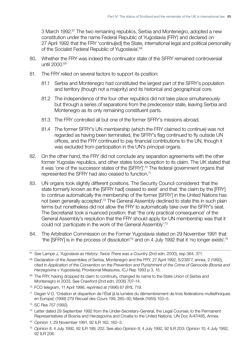3 March 1992.<sup>67</sup> The two remaining republics, Serbia and Montenegro, adopted a new constitution under the name Federal Republic of Yugoslavia (FRY) and declared on 27 April 1992 that the FRY 'continu[ed] the State, international legal and political personality of the Socialist Federal Republic of Yugoslavia<sup>'.68</sup>

- 80. Whether the FRY was indeed the continuator state of the SFRY remained controversial until 2000.69
- 81. The FRY relied on several factors to support its position:
	- 81.1 Serbia and Montenegro had constituted the largest part of the SFRY's population and territory (though not a majority) and its historical and geographical core.
	- 81.2 The independence of the four other republics did not take place simultaneously but through a series of separations from the predecessor state, leaving Serbia and Montenegro as its only remaining constituent parts.
	- 81.3 The FRY controlled all but one of the former SFRY's missions abroad.
	- 81.4 The former SFRY's UN membership (which the FRY claimed to continue) was not regarded as having been terminated, the SFRY's flag continued to fly outside UN offices, and the FRY continued to pay financial contributions to the UN, though it was excluded from participation in the UN's principal organs.
- 82. On the other hand, the FRY did not conclude any separation agreements with the other former Yugoslav republics, and other states took exception to its claim. The UK stated that it was 'one of the successor states of the [SFRY]'.70 The federal government organs that represented the SFRY had also ceased to function.71
- 83. UN organs took slightly different positions. The Security Council considered 'that the state formerly known as the [SFRY had] ceased to exist' and that 'the claim by the [FRY] to continue automatically the membership of the former [SFRY] in the United Nations has not been generally accepted'.<sup>72</sup> The General Assembly declined to state this in such plain terms but nonetheless did not allow the FRY to automatically take over the SFRY's seat. The Secretariat took a nuanced position: that 'the only practical consequence' of the General Assembly's resolution that the FRY should apply for UN membership was that it could not '*participate* in the work of the General Assembly'.73
- 84. The Arbitration Commission on the Former Yugoslavia stated on 29 November 1991 that 'the [SFRY] is in the process of dissolution'74 and on 4 July 1992 that it 'no longer exists'.75

- 71 Degan V-D, 'Création et disparition de l'État (à la lumière du démembrement de trois fédérations multiethniques en Europe)' (1999) 279 *Recueil des Cours* 199, 285–92; Marek (1955) 153–5.
- 72 SC Res 757 (1992).
- 73 Letter dated 29 September 1992 from the Under-Secretary-General, the Legal Counsel, to the Permanent Representatives of Bosnia and Herzegovina and Croatia to the United Nations, UN Doc A/47/485, Annex.
- <sup>74</sup>*Opinion 1*, 29 November 1991, 92 ILR 162, 162–3.

<sup>&</sup>lt;sup>67</sup> See Lampe J, *Yugoslavia as History: Twice There was a Country* (2nd edn, 2000), esp 364, 371.

<sup>68</sup> Declaration of the Assemblies of Serbia, Montenegro and the FRY, 27 April 1992, S/23877, annex, 2 (1992), cited in *Application of the Convention on the Prevention and Punishment of the Crime of Genocide (Bosnia and Herzegovina v Yugoslavia)*, Provisional Measures, ICJ Rep 1993 p 3, 15.

<sup>69</sup> The FRY, having dropped its claim to continuity, changed its name to the State Union of Serbia and Montenegro in 2003. See Crawford (2nd edn, 2006) 707–14.

<sup>70</sup> FCO telegram, 11 April 1996, reprinted at (1996) 67 *BYIL* 719.

<sup>75</sup>*Opinion 8*, 4 July 1992, 92 ILR 199, 202. See also *Opinion 9*, 4 July 1992, 92 ILR 203; *Opinion 10*, 4 July 1992,  $92$  ILR 206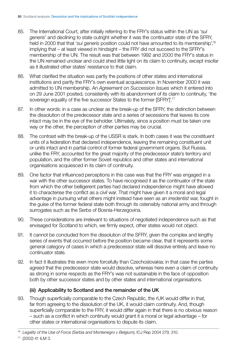- <span id="page-22-0"></span>85. The International Court, after initially referring to the FRY's status within the UN as 's*ui generis*' and declining to state outright whether it was the continuator state of the SFRY, held in 2000 that that '*sui generis* position could not have amounted to its membership',76 implying that – at least viewed in hindsight – the FRY did not succeed to the SFRY's membership of the UN. The result was that between 1992 and 2000 the FRY's status in the UN remained unclear and could shed little light on its claim to continuity, except insofar as it illustrated other states' resistance to that claim.
- 86. What clarified the situation was partly the positions of other states and international institutions and partly the FRY's own eventual acquiescence. In November 2000 it was admitted to UN membership. An *Agreement on Succession Issues* which it entered into on 29 June 2001 posited, consistently with its abandonment of its claim to continuity, 'the sovereign equality of the five successor States to the former [SFRY]'.<sup>77</sup>
- 87. In other words: in a case as unclear as the break-up of the SFRY, the distinction between the dissolution of the predecessor state and a series of secessions that leaves its core intact may be in the eye of the beholder. Ultimately, since a position must be taken one way or the other, the perception of other parties may be crucial.
- 88. The contrast with the break-up of the USSR is stark. In both cases it was the constituent units of a federation that declared independence, leaving the remaining constituent unit or units intact and in partial control of former federal government organs. But Russia, unlike the FRY, accounted for the great majority of the predecessor state's territory and population, and the other former Soviet republics and other states and international organisations acquiesced in its claim of continuity.
- 89. One factor that influenced perceptions in this case was that the FRY was engaged in a war with the other successor states. To have recognised it as the continuator of the state from which the other belligerent parties had declared independence might have allowed it to characterise the conflict as a *civil* war. That might have given it a moral and legal advantage in pursuing what others might instead have seen as an *irredentist* war, fought in the guise of the former federal state both through its ostensibly national army and through surrogates such as the Serbs of Bosnia-Herzegovina.
- 90. These considerations are irrelevant to situations of negotiated independence such as that envisaged for Scotland to which, we firmly expect, other states would not object.
- 91. It cannot be concluded from the dissolution of the SFRY, given the complex and lengthy series of events that occurred before the position became clear, that it represents some general category of cases in which a predecessor state will dissolve entirely and leave no continuator state.
- 92. In fact it illustrates this even more forcefully than Czechoslovakia: in that case the parties agreed that the predecessor state would dissolve, whereas here even a claim of continuity as strong in some respects as the FRY's was not sustainable in the face of opposition both by other successor states and by other states and international organisations.

#### (iii) Applicability to Scotland and the remainder of the UK

93. Though superficially comparable to the Czech Republic, the rUK would differ in that, far from agreeing to the dissolution of the UK, it would claim continuity. And, though superficially comparable to the FRY, it would differ again in that there is no obvious reason – such as a conflict in which continuity would grant it a moral or legal advantage – for other states or international organisations to dispute its claim.

<sup>76</sup>*Legality of the Use of Force (Serbia and Montenegro v Belgium)*, ICJ Rep 2004 279, 310.

<sup>77 (2002) 41</sup> ILM 3.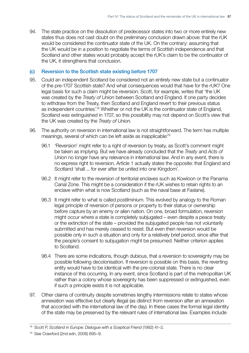<span id="page-23-0"></span>94. The state practice on the dissolution of predecessor states into two or more entirely new states thus does not cast doubt on the preliminary conclusion drawn above: that the rUK would be considered the continuator state of the UK. On the contrary: assuming that the UK would be in a position to negotiate the terms of Scottish independence and that Scotland and other states would probably accept the rUK's claim to be the continuator of the UK, it strengthens that conclusion.

#### (c) Reversion to the Scottish state existing before 1707

- 95. Could an independent Scotland be considered not an entirely new state but a continuator of the pre-1707 Scottish state? And what consequences would that have for the rUK? One legal basis for such a claim might be reversion. Scott, for example, writes that 'the UK was created by the *Treaty of Union* between Scotland and England. If one party decides to withdraw from the Treaty, then Scotland and England revert to their previous status as independent countries'.<sup>78</sup> Whether or not the UK is the continuator state of England, Scotland *was* extinguished in 1707, so this possibility may not depend on Scott's view that the UK was created by the *Treaty of Union*.
- 96. The authority on reversion in international law is not straightforward. The term has multiple meanings, several of which can be left aside as inapplicable:79
	- 96.1 'Reversion' might refer to a right of reversion by treaty, as Scott's comment might be taken as implying. But we have already concluded that the *Treaty* and *Acts of Union* no longer have any relevance in international law. And in any event, there is no express right to reversion. Article 1 actually states the opposite: that England and Scotland 'shall ... for ever after be united into one Kingdom'.
	- 96.2 It might refer to the reversion of territorial enclaves such as Kowloon or the Panama Canal Zone. This might be a consideration if the rUK wishes to retain rights to an enclave within what is now Scotland (such as the naval base at Faslane).
	- 96.3 It might refer to what is called *postliminium*. This evolved by analogy to the Roman legal principle of reversion of persons or property to their status or ownership before capture by an enemy or alien nation. On one, broad formulation, reversion might occur where a state is completely subjugated – even despite a peace treaty or the extinction of the state – provided the subjugated people has not voluntarily submitted and has merely ceased to resist. But even then reversion would be possible only in such a situation and only for a relatively brief period, since after that the people's consent to subjugation might be presumed. Neither criterion applies to Scotland.
	- 96.4 There are some indications, though dubious, that a reversion to sovereignty may be possible following decolonisation. If reversion is possible on this basis, the reverting entity would have to be identical with the pre-colonial state. There is no clear instance of this occurring. In any event, since Scotland is part of the metropolitan UK rather than a colony whose sovereignty has been suppressed or extinguished, even if such a principle exists it is not applicable.
- 97. Other claims of continuity despite sometimes lengthy intermissions relate to states whose annexation was effective but clearly illegal (as distinct from reversion after an annexation that accorded with the international law of the day). In these cases the formal legal identity of the state may be preserved by the relevant rules of international law. Examples include

<sup>78</sup> Scott P, *Scotland in Europe: Dialogue with a Sceptical Friend* (1992) 41–2.

<sup>79</sup> See Crawford (2nd edn, 2006) 695–9.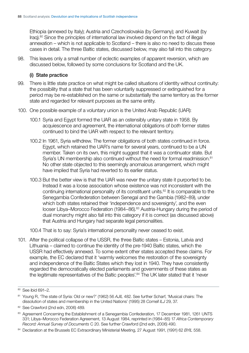<span id="page-24-0"></span>Ethiopia (annexed by Italy); Austria and Czechoslovakia (by Germany); and Kuwait (by Iraq).80 Since the principles of international law involved depend on the fact of illegal annexation – which is not applicable to Scotland – there is also no need to discuss these cases in detail. The three Baltic states, discussed below, may also fall into this category.

98. This leaves only a small number of eclectic examples of apparent reversion, which are discussed below, followed by some conclusions for Scotland and the UK.

#### (i) State practice

- 99. There is little state practice on what might be called situations of identity without continuity: the possibility that a state that has been voluntarily suppressed or extinguished for a period may be re-established on the same or substantially the same territory as the former state and regarded for relevant purposes as the same entity.
- 100. One possible example of a voluntary union is the United Arab Republic (UAR):
	- 100.1 Syria and Egypt formed the UAR as an ostensibly unitary state in 1958. By acquiescence and agreement, the international obligations of *both* former states continued to bind the UAR with respect to the relevant territory.
	- 100.2 In 1961, Syria withdrew. The former obligations of both states continued in force. Egypt, which retained the UAR's name for several years, continued to be a UN member. Taken on its own, this might suggest that it was a continuator state. But Syria's UN membership also continued without the need for formal readmission.<sup>81</sup> No other state objected to this seemingly anomalous arrangement, which might have implied that Syria had reverted to its earlier status.
	- 100.3 But the better view is that the UAR was never the unitary state it purported to be. Instead it was a loose association whose existence was not inconsistent with the continuing international personality of its constituent units.<sup>82</sup> It is comparable to the Senegambia Confederation between Senegal and the Gambia (1982–89), under which both states retained their 'independence and sovereignty', and the even looser Libya–Morocco Federation (1984–86).<sup>83</sup> Austria-Hungary during the period of dual monarchy might also fall into this category if it is correct (as discussed above) that Austria and Hungary had separate legal personalities.

100.4 That is to say: Syria's international personality never ceased to exist.

101. After the political collapse of the USSR, the three Baltic states – Estonia, Latvia and Lithuania – claimed to continue the identity of the pre-1940 Baltic states, which the USSR had effectively annexed. To some extent other states accepted these claims. For example, the EC declared that it 'warmly welcomes the restoration of the sovereignty and independence of the Baltic States which they lost in 1940. They have consistently regarded the democratically elected parliaments and governments of these states as the legitimate representatives of the Baltic peoples'.<sup>84</sup> The UK later stated that it 'never

<sup>80</sup> See ibid 691–2.

<sup>&</sup>lt;sup>81</sup> Young R, 'The state of Syria: Old or new?' (1962) 56 AJIL 482. See further Scharf, 'Musical chairs: The dissolution of states and membership in the United Nations' (1995) 28 *Cornell ILJ* 29, 37.

<sup>82</sup> See Crawford (2nd edn, 2006) 489.

<sup>83</sup> Agreement Concerning the Establishment of a Senegambia Confederation, 17 December 1981, 1261 UNTS 331; Libya–Morocco Federation Agreement, 13 August 1984, reprinted in (1984–85) 17 *Africa Contemporary Record: Annual Survey of Documents* C 20. See further Crawford (2nd edn, 2006) 490.

<sup>84</sup> Declaration at the Brussels EC Extraordinary Ministerial Meeting, 27 August 1991, (1991) 62 *BYIL* 558.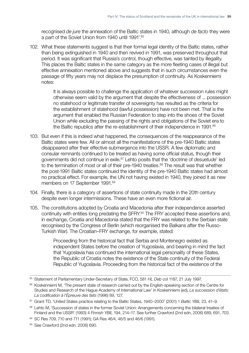recognised *de jure* the annexation of the Baltic states in 1940, although *de facto* they were a part of the Soviet Union from 1940 until 1991'.85

102. What these statements suggest is that their formal legal identity of the Baltic states, rather than being extinguished in 1940 and then revived in 1991, was preserved throughout that period. It was significant that Russia's control, though effective, was tainted by illegality. This places the Baltic states in the same category as the more fleeting cases of illegal but effective annexation mentioned above and suggests that in such circumstances even the passage of fifty years may not displace the presumption of continuity. As Koskenniemi notes:

> It is always possible to challenge the application of whatever succession rules might otherwise seem valid by the argument that despite the effectiveness of ... possession no statehood or legitimate transfer of sovereignty has resulted as the criteria for the establishment of statehood (lawful possession) have not been met. That is the argument that enabled the Russian Federation to step into the shoes of the Soviet Union while excluding the passing of the rights and obligations of the Soviet era to the Baltic republics after the re-establishment of their independence in 1991.<sup>86</sup>

- 103. But even if this is indeed what happened, the consequences of the reappearance of the Baltic states were few. All or almost all the manifestations of the pre-1940 Baltic states disappeared after their effective submergence into the USSR. A few diplomatic and consular remnants continued to be treated as having some official status, though their governments did not continue in exile.87 Lehto posits that the 'doctrine of *desuetude*' led to the termination of most or all of their pre-1940 treaties.<sup>88</sup> The result was that whether the post-1991 Baltic states continued the identity of the pre-1940 Baltic states had almost no practical effect. For example, the UN not having existed in 1940, they joined it as new members on 17 September 1991.<sup>89</sup>
- 104. Finally, there is a category of assertions of state continuity made in the 20th century despite even longer intermissions. These have an even more fictional air.
- 105. The constitutions adopted by Croatia and Macedonia after their independence asserted continuity with entities long predating the SFRY.<sup>90</sup> The FRY accepted these assertions and, in exchange, Croatia and Macedonia stated that the FRY was related to the Serbian state recognised by the Congress of Berlin (which reorganised the Balkans after the Russo-Turkish War). The Croatian–FRY exchange, for example, stated:

Proceeding from the historical fact that Serbia and Montenegro existed as independent States before the creation of Yugoslavia, and bearing in mind the fact that Yugoslavia has continued the international legal personality of these States, the Republic of Croatia notes the existence of the State continuity of the Federal Republic of Yugoslavia. Proceeding from the historical fact of the existence of the

<sup>85</sup> Statement of Parliamentary Under-Secretary of State, FCO, 581 HL Deb col 1187, 21 July 1997.

<sup>86</sup> Koskenniemi M, 'The present state of research carried out by the English-speaking section of the Centre for Studies and Research of the Hague Academy of International Law' in Koskenniemi (ed), *La succession d'états: La codification à l'Épreuve des faits* (1996) 89, 127.

<sup>87</sup> Grant TD, 'United States practice relating to the Baltic States, 1940–2000' (2001) 1 *Baltic YBIL* 23, 41–9.

<sup>88</sup> Lehto M, 'Succession of states in the former Soviet Union: Arrangements concerning the bilateral treaties of Finland and the USSR' (1993) 4 *Finnish YBIL* 194, 214–17. See further Crawford (2nd edn, 2006) 689, 691, 703.

<sup>89</sup> SC Res 709, 710 and 711 (1991); GA Res 46/4, 46/5 and 46/6 (1991).

<sup>90</sup> See Crawford (2nd edn, 2006) 690.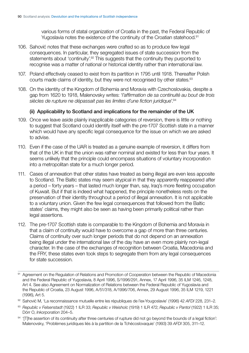various forms of statal organization of Croatia in the past, the Federal Republic of Yugoslavia notes the existence of the continuity of the Croatian statehood.<sup>91</sup>

- <span id="page-26-0"></span>106. Sahović notes that these exchanges were crafted so as to produce few legal consequences. In particular, they segregated issues of state succession from the statements about 'continuity'.<sup>92</sup> This suggests that the continuity they purported to recognise was a matter of national or historical identity rather than international law.
- 107. Poland effectively ceased to exist from its partition in 1795 until 1918. Thereafter Polish courts made claims of identity, but they were not recognised by other states.<sup>93</sup>
- 108. On the identity of the Kingdom of Bohemia and Moravia with Czechoslovakia, despite a gap from 1620 to 1918, Malenovsky writes: '*l'affirmation de sa continuité au bout de trois siècles de rupture ne dépassait pas les limites d'une fiction juridique*'.94

#### (ii) Applicability to Scotland and implications for the remainder of the UK

- 109. Once we leave aside plainly inapplicable categories of reversion, there is little or nothing to suggest that Scotland could identify itself with the pre-1707 Scottish state in a manner which would have any specific legal consequence for the issue on which we are asked to advise.
- 110. Even if the case of the UAR is treated as a genuine example of reversion, it differs from that of the UK in that the union was rather nominal and existed for less than four years. It seems unlikely that the principle could encompass situations of voluntary incorporation into a metropolitan state for a much longer period.
- 111. Cases of annexation that other states have treated as being illegal are even less apposite to Scotland. The Baltic states may seem atypical in that they apparently reappeared after a period – forty years – that lasted much longer than, say, Iraq's more fleeting occupation of Kuwait. But if that is indeed what happened, the principle nonetheless rests on the preservation of their identity throughout a period of illegal annexation. It is not applicable to a voluntary union. Given the few legal consequences that followed from the Baltic states' claims, they might also be seen as having been primarily political rather than legal assertions.
- 112. The pre-1707 Scottish state is comparable to the Kingdom of Bohemia and Moravia in that a claim of continuity would have to overcome a gap of more than three centuries. Claims of continuity over such longer periods that do not depend on an annexation being illegal under the international law of the day have an even more plainly non-legal character. In the case of the exchanges of recognition between Croatia, Macedonia and the FRY, these states even took steps to segregate them from any legal consequences for state succession.

94 '[T]he assertion of its continuity after three centuries of rupture did not go beyond the bounds of a legal fiction': Malenovsky, 'Problèmes juridiques liés à la partition de la Tchécoslovaquie' (1993) 39 *AFDI* 305, 311–12.

<sup>91</sup> Agreement on the Regulation of Relations and Promotion of Cooperation between the Republic of Macedonia and the Federal Republic of Yugoslavia, 8 April 1996, S/1996/291, Annex, 17 April 1996, 35 ILM 1246, 1248, Art 4. See also Agreement on Normalization of Relations between the Federal Republic of Yugoslavia and the Republic of Croatia, 23 August 1996, A/51/318, A/1996/706, Annex, 29 August 1996, 35 ILM 1219, 1221 (1996), Art 5.

<sup>92</sup> Sahović M, 'La reconnaissance mutuelle entre les républiques de l'ex-Yougoslavie' (1996) 42 *AFDI* 228, 231-2.

<sup>93</sup>*Republic v Felsenstadt* (1922) 1 ILR 33; *Republic v Weisholc* (1919) 1 ILR 472; *Republic v Pantol* (1922) 1 ILR 35; Dörr O, *Inkorporation* 204–5.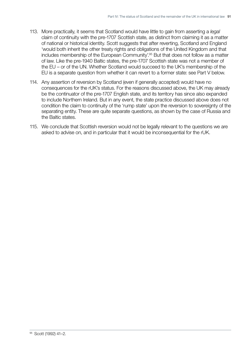- 113. More practically, it seems that Scotland would have little to gain from asserting a *legal*  claim of continuity with the pre-1707 Scottish state, as distinct from claiming it as a matter of national or historical identity. Scott suggests that after reverting, Scotland and England 'would both inherit the other treaty rights and obligations of the United Kingdom and that includes membership of the European Community'.95 But that does not follow as a matter of law. Like the pre-1940 Baltic states, the pre-1707 Scottish state was not a member of the EU – or of the UN. Whether Scotland would succeed to the UK's membership of the EU is a separate question from whether it can revert to a former state: see Part V below.
- 114. Any assertion of reversion by Scotland (even if generally accepted) would have no consequences for the rUK's status. For the reasons discussed above, the UK may already be the continuator of the pre-1707 English state, and its territory has since also expanded to include Northern Ireland. But in any event, the state practice discussed above does not condition the claim to continuity of the 'rump state' upon the reversion to sovereignty of the separating entity. These are quite separate questions, as shown by the case of Russia and the Baltic states.
- 115. We conclude that Scottish reversion would not be legally relevant to the questions we are asked to advise on, and in particular that it would be inconsequential for the rUK.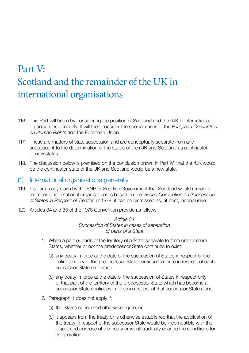# <span id="page-28-0"></span>Part V: Scotland and the remainder of the UK in international organisations

- 116. This Part will begin by considering the position of Scotland and the rUK in international organisations generally. It will then consider the special cases of the *European Convention on Human Rights* and the European Union.
- 117. These are matters of state succession and are conceptually separate from and subsequent to the determination of the status of the rUK and Scotland as continuator or new states.
- 118. The discussion below is premised on the conclusion drawn in Part IV: that the rUK would be the continuator state of the UK and Scotland would be a new state.

### (1) International organisations generally

- 119. Insofar as any claim by the SNP or Scottish Government that Scotland would remain a member of international organisations is based on the *Vienna Convention on Succession of States in Respect of Treaties* of 1978, it can be dismissed as, at best, inconclusive.
- 120. Articles 34 and 35 of the 1978 Convention provide as follows:

*Article 34 Succession of States in cases of separation of parts of a State* 

- 1. When a part or parts of the territory of a State separate to form one or more States, whether or not the predecessor State continues to exist:
	- (a) any treaty in force at the date of the succession of States in respect of the entire territory of the predecessor State continues in force in respect of each successor State so formed;
	- (b) any treaty in force at the date of the succession of States in respect only of that part of the territory of the predecessor State which has become a successor State continues in force in respect of that successor State alone.
- 2. Paragraph 1 does not apply if:
	- (a) the States concerned otherwise agree; or
	- (b) it appears from the treaty or is otherwise established that the application of the treaty in respect of the successor State would be incompatible with the object and purpose of the treaty or would radically change the conditions for its operation.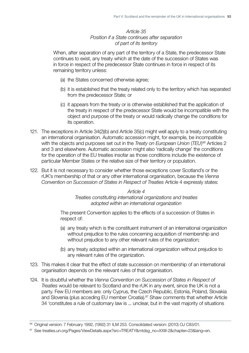#### *Article 35 Position if a State continues after separation of part of its territory*

When, after separation of any part of the territory of a State, the predecessor State continues to exist, any treaty which at the date of the succession of States was in force in respect of the predecessor State continues in force in respect of its remaining territory unless:

- (a) the States concerned otherwise agree;
- (b) it is established that the treaty related only to the territory which has separated from the predecessor State; or
- (c) it appears from the treaty or is otherwise established that the application of the treaty in respect of the predecessor State would be incompatible with the object and purpose of the treaty or would radically change the conditions for its operation.
- 121. The exceptions in Article 34(2)(b) and Article 35(c) might well apply to a treaty constituting an international organisation. Automatic accession might, for example, be incompatible with the objects and purposes set out in the *Treaty on European Union* (*TEU*) 96 Articles 2 and 3 and elsewhere. Automatic accession might also 'radically change' the conditions for the operation of the EU treaties insofar as those conditions include the existence of particular Member States or the relative size of their territory or population.
- 122. But it is not necessary to consider whether those exceptions cover Scotland's or the rUK's membership of that or any other international organisation, because the *Vienna Convention on Succession of States in Respect of Treaties* Article 4 expressly states:

*Article 4 Treaties constituting international organizations and treaties adopted within an international organization* 

The present Convention applies to the effects of a succession of States in respect of:

- (a) any treaty which is the constituent instrument of an international organization without prejudice to the rules concerning acquisition of membership and without prejudice to any other relevant rules of the organization;
- (b) any treaty adopted within an international organization without prejudice to any relevant rules of the organization.
- 123. This makes it clear that the effect of state succession on membership of an international organisation depends on the relevant rules of that organisation.
- 124. It is doubtful whether the *Vienna Convention on Succession of States in Respect of Treaties* would be relevant to Scotland and the rUK in any event, since the UK is not a party. Few EU members are: only Cyprus, the Czech Republic, Estonia, Poland, Slovakia and Slovenia (plus acceding EU member Croatia).<sup>97</sup> Shaw comments that whether Article 34 'constitutes a rule of customary law is ... unclear, but in the vast majority of situations

97 See [treaties.un.org/Pages/ViewDetails.aspx?src=TREATY&mtdsg\\_no=XXIII-2&chapter=23&lang=en](treaties.un.org/Pages/ViewDetails.aspx?src=TREATY&mtdsg_no=XXIII-2&chapter=23&lang=en).

<sup>96</sup> Original version: 7 February 1992, (1992) 31 ILM 253. Consolidated version: (2010) *OJ* C83/01.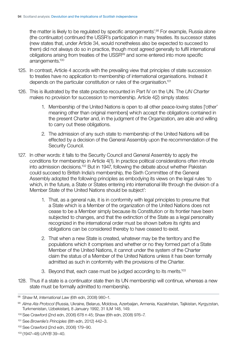the matter is likely to be regulated by specific arrangements'.<sup>98</sup> For example, Russia alone (the continuator) continued the USSR's participation in many treaties. Its successor states (new states that, under Article 34, would nonetheless also be expected to succeed to them) did not always do so in practice, though most agreed generally to fulfil international obligations arising from treaties of the USSR<sup>99</sup> and some entered into more specific arrangements.<sup>100</sup>

- 125. In contrast, Article 4 accords with the prevailing view that principles of state succession to treaties have no application to membership of international organisations. Instead it depends on the particular constitution or rules of the organisation.101
- 126. This is illustrated by the state practice recounted in Part IV on the UN. The UN Charter makes no provision for succession to membership. Article 4(2) simply states:
	- 1. Membership of the United Nations is open to all other peace-loving states ['other' meaning other than original members] which accept the obligations contained in the present Charter and, in the judgment of the Organization, are able and willing to carry out these obligations.
	- 2. The admission of any such state to membership of the United Nations will be effected by a decision of the General Assembly upon the recommendation of the Security Council.
- 127. In other words: it falls to the Security Council and General Assembly to apply the conditions for membership in Article 4(1). In practice political considerations often intrude into admission decisions.102 But in 1947, following the debate about whether Pakistan could succeed to British India's membership, the Sixth Committee of the General Assembly adopted the following principles as embodying its views on the legal rules 'to which, in the future, a State or States entering into international life through the division of a Member State of the United Nations should be subject':
	- 1. That, as a general rule, it is in conformity with legal principles to presume that a State which is a Member of the organization of the United Nations does not cease to be a Member simply because its Constitution or its frontier have been subjected to changes, and that the extinction of the State as a legal personality recognized in the international order must be shown before its rights and obligations can be considered thereby to have ceased to exist.
	- 2. That when a new State is created, whatever may be the territory and the populations which it comprises and whether or no they formed part of a State Member of the United Nations, it cannot under the system of the Charter claim the status of a Member of the United Nations unless it has been formally admitted as such in conformity with the provisions of the Charter.
	- 3. Beyond that, each case must be judged according to its merits.<sup>103</sup>
- 128. Thus if a state is a continuator state then its UN membership will continue, whereas a new state must be formally admitted to membership.

<sup>98</sup> Shaw M, *International Law* (6th edn, 2008) 980–1.

<sup>99</sup> *Alma Ata Protocol* (Russia, Ukraine, Belarus, Moldova, Azerbaijan, Armenia, Kazakhstan, Tajikistan, Kyrgyzstan, Turkmenistan, Uzbekistan), 8 January 1992, 31 ILM 148, 149.

<sup>100</sup> See Crawford (2nd edn, 2006) 678 n 45; Shaw (6th edn, 2008) 976-7.

<sup>101</sup> See *Brownlie's Principles* (8th edn, 2012) 442–3.

<sup>102</sup> See Crawford (2nd edn, 2006) 179–90.

 103 (1947–48) *UNYB* 39–40.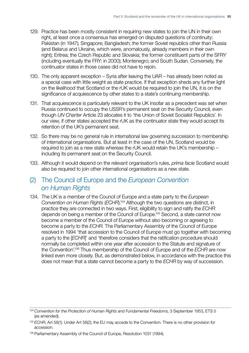- <span id="page-31-0"></span>129. Practice has been mostly consistent in requiring new states to join the UN in their own right, at least once a consensus has emerged on disputed questions of continuity: Pakistan (in 1947); Singapore; Bangladesh; the former Soviet republics other than Russia (and Belarus and Ukraine, which were, anomalously, already members in their own right); Eritrea; the Czech Republic and Slovakia; the former constituent parts of the SFRY (including eventually the FRY: in 2000); Montenegro; and South Sudan. Conversely, the continuator states in those cases did not have to rejoin.
- 130. The only apparent exception Syria after leaving the UAR has already been noted as a special case with little weight as state practice. If that exception sheds any further light on the likelihood that Scotland or the rUK would be required to join the UN, it is on the significance of acquiescence by other states to a state's continuing membership.
- 131. That acquiescence is particularly relevant to the UK insofar as a precedent was set when Russia continued to occupy the USSR's permanent seat on the Security Council, even though *UN Charter* Article 23 allocates it to 'the Union of Soviet Socialist Republics'. In our view, if other states accepted the rUK as the continuator state they would accept its retention of the UK's permanent seat.
- 132. So there may be no general rule in international law governing succession to membership of international organisations. But at least in the case of the UN, Scotland would be required to join as a new state whereas the rUK would retain the UK's membership – including its permanent seat on the Security Council.
- 133. Although it would depend on the relevant organisation's rules, *prima facie* Scotland would also be required to join other international organisations as a new state.

### (2) The Council of Europe and the *European Convention on Human Rights*

134. The UK is a member of the Council of Europe and a state party to the *European Convention on Human Rights* (*ECHR*).104 Although the two questions are distinct, in practice they are connected in two ways. First, eligibility to sign and ratify the *ECHR*  depends on being a member of the Council of Europe.<sup>105</sup> Second, a state cannot now become a member of the Council of Europe without also becoming or agreeing to become a party to the *ECHR*. The Parliamentary Assembly of the Council of Europe resolved in 1994 'that accession to the Council of Europe must go together with becoming a party to the [*ECHR*]' and 'therefore considers that the ratification procedure should normally be completed within one year after accession to the Statute and signature of the Convention'.106 Thus membership of the Council of Europe and of the *ECHR* are now linked even more closely. But, as demonstrated below, in accordance with the practice this does not mean that a state cannot become a party to the *ECHR* by way of succession.

<sup>104</sup>*Convention for the Protection of Human Rights and Fundamental Freedoms*, 3 September 1953, ETS 5 (as amended).

<sup>105</sup>*ECHR*, Art 58(1). Under Art 58(2), the EU may accede to the Convention. There is no other provision for accession.

<sup>&</sup>lt;sup>106</sup> Parliamentary Assembly of the Council of Europe, Resolution 1031 (1994).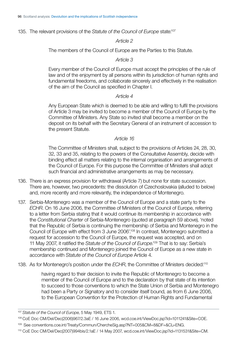135. The relevant provisions of the *Statute of the Council of Europe* state:<sup>107</sup>

#### *Article 2*

The members of the Council of Europe are the Parties to this Statute.

#### *Article 3*

Every member of the Council of Europe must accept the principles of the rule of law and of the enjoyment by all persons within its jurisdiction of human rights and fundamental freedoms, and collaborate sincerely and effectively in the realisation of the aim of the Council as specified in Chapter I.

#### *Article 4*

Any European State which is deemed to be able and willing to fulfil the provisions of Article 3 may be invited to become a member of the Council of Europe by the Committee of Ministers. Any State so invited shall become a member on the deposit on its behalf with the Secretary General of an instrument of accession to the present Statute.

#### *Article 16*

The Committee of Ministers shall, subject to the provisions of Articles 24, 28, 30, 32, 33 and 35, relating to the powers of the Consultative Assembly, decide with binding effect all matters relating to the internal organisation and arrangements of the Council of Europe. For this purpose the Committee of Ministers shall adopt such financial and administrative arrangements as may be necessary.

- 136. There is an express provision for withdrawal (Article 7) but none for state succession. There are, however, two precedents: the dissolution of Czechoslovakia (alluded to below) and, more recently and more relevantly, the independence of Montenegro.
- 137. Serbia-Montenegro was a member of the Council of Europe and a state party to the *ECHR*. On 16 June 2006, the Committee of Ministers of the Council of Europe, referring to a letter from Serbia stating that it would continue its membership in accordance with the *Constitutional Charter* of Serbia-Montenegro (quoted at paragraph 59 above), 'noted that the Republic of Serbia is continuing the membership of Serbia and Montenegro in the Council of Europe with effect from 3 June 2006'.108 In contrast, Montenegro submitted a request for accession to the Council of Europe, the request was accepted, and on 11 May 2007, it ratified the Statute of the Council of Europe.<sup>109</sup> That is to say: Serbia's membership continued and Montenegro joined the Council of Europe as a new state in accordance with *Statute of the Council of Europe* Article 4.
- 138. As for Montenegro's position under the *ECHR*, the Committee of Ministers decided:110

having regard to their decision to invite the Republic of Montenegro to become a member of the Council of Europe and to the declaration by that state of its intention to succeed to those conventions to which the State Union of Serbia and Montenegro had been a Party or Signatory and to consider itself bound, as from 6 June 2006, to the European Convention for the Protection of Human Rights and Fundamental

109 See <conventions.coe.int/Treaty/Commun/ChercheSig.asp?NT=005&CM=8&DF=&CL=ENG>.

<sup>107</sup> *Statute of the Council of Europe*, 5 May 1949, ETS 1.

 108 CoE Doc CM/Del/Dec(2006)967/2.3aE / 16 June 2006, <wcd.coe.int/ViewDoc.jsp?id=1011241&Site=COE>.

 110 CoE Doc CM/Del/Dec(2007)994bis/2.1aE / 14 May 2007, [wcd.coe.int/ViewDoc.jsp?id=1131531&Site=CM.](wcd.coe.int/ViewDoc.jsp?id=1131531&Site=CM)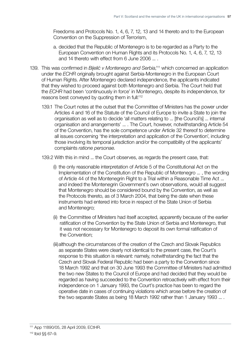Freedoms and Protocols No. 1, 4, 6, 7, 12, 13 and 14 thereto and to the European Convention on the Suppression of Terrorism,

- a. decided that the Republic of Montenegro is to be regarded as a Party to the European Convention on Human Rights and its Protocols No. 1, 4, 6, 7, 12, 13 and 14 thereto with effect from 6 June 2006 ... .
- 139. This was confirmed in *Bijelić v Montenegro and Serbia*,<sup>111</sup> which concerned an application under the *ECHR* originally brought against Serbia-Montenegro in the European Court of Human Rights. After Montenegro declared independence, the applicants indicated that they wished to proceed against both Montenegro and Serbia. The Court held that the *ECHR* had been 'continuously in force' in Montenegro, despite its independence, for reasons best conveyed by quoting them in full:<sup>112</sup>
	- 139.1 The Court notes at the outset that the Committee of Ministers has the power under Articles 4 and 16 of the Statute of the Council of Europe to invite a State to join the organisation as well as to decide 'all matters relating to ... [the Council's] ... internal organisation and arrangements' ... . The Court, however, notwithstanding Article 54 of the Convention, has the sole competence under Article 32 thereof to determine all issues concerning 'the interpretation and application of the Convention', including those involving its temporal jurisdiction and/or the compatibility of the applicants' complaints *ratione personae*.
	- 139.2 With this in mind ... the Court observes, as regards the present case, that:
		- (i) the only reasonable interpretation of Article 5 of the Constitutional Act on the Implementation of the Constitution of the Republic of Montenegro ... , the wording of Article 44 of the Montenegrin Right to a Trial within a Reasonable Time Act ... and indeed the Montenegrin Government's own observations, would all suggest that Montenegro should be considered bound by the Convention, as well as the Protocols thereto, as of 3 March 2004, that being the date when these instruments had entered into force in respect of the State Union of Serbia and Montenegro;
		- (ii) the Committee of Ministers had itself accepted, apparently because of the earlier ratification of the Convention by the State Union of Serbia and Montenegro, that it was not necessary for Montenegro to deposit its own formal ratification of the Convention;
		- (iii) although the circumstances of the creation of the Czech and Slovak Republics as separate States were clearly not identical to the present case, the Court's response to this situation is relevant: namely, notwithstanding the fact that the Czech and Slovak Federal Republic had been a party to the Convention since 18 March 1992 and that on 30 June 1993 the Committee of Ministers had admitted the two new States to the Council of Europe and had decided that they would be regarded as having succeeded to the Convention retroactively with effect from their independence on 1 January 1993, the Court's practice has been to regard the operative date in cases of continuing violations which arose before the creation of the two separate States as being 18 March 1992 rather than 1 January 1993 ... .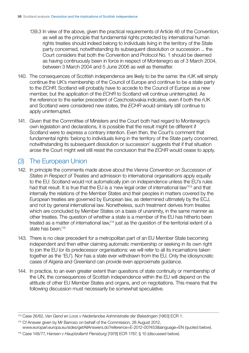- <span id="page-34-0"></span>139.3 In view of the above, given the practical requirements of Article 46 of the Convention, as well as the principle that fundamental rights protected by international human rights treaties should indeed belong to individuals living in the territory of the State party concerned, notwithstanding its subsequent dissolution or succession ... the Court considers that both the Convention and Protocol No. 1 should be deemed as having continuously been in force in respect of Montenegro as of 3 March 2004, between 3 March 2004 and 5 June 2006 as well as thereafter.
- 140. The consequences of Scottish independence are likely to be the same: the rUK will simply continue the UK's membership of the Council of Europe and continue to be a state party to the *ECHR*. Scotland will probably have to accede to the Council of Europe as a new member, but the application of the *ECHR* to Scotland will continue uninterrupted. As the reference to the earlier precedent of Czechoslovakia indicates, even if both the rUK and Scotland were considered new states, the *ECHR* would similarly still continue to apply uninterrupted.
- 141. Given that the Committee of Ministers and the Court both had regard to Montenegro's own legislation and declarations, it is possible that the result might be different if Scotland were to express a contrary intention. Even then, the Court's comment that fundamental rights 'belong to individuals living in the territory of the State party concerned, notwithstanding its subsequent dissolution or succession' suggests that if that situation arose the Court might well still resist the conclusion that the *ECHR* would cease to apply.

### (3) The European Union

- 142. In principle the comments made above about the *Vienna Convention on Succession of States in Respect of Treaties* and admission to international organisations apply equally to the EU: Scotland would not automatically join on independence unless the EU's rules had that result. It is true that the EU is a 'new legal order of international law<sup>113</sup> and that internally the relations of the Member States and their peoples in matters covered by the European treaties are governed by European law, as determined ultimately by the ECJ, and not by general international law. Nonetheless, such treatment derives from treaties which are concluded by Member States on a basis of unanimity, in the same manner as other treaties. The question of whether a state is a member of the EU has hitherto been treated as a matter of international law,<sup>114</sup> just as the question of the territorial extent of a state has been.<sup>115</sup>
- 143. There is no clear precedent for a metropolitan part of an EU Member State becoming independent and then either claiming automatic membership or seeking in its own right to join the EU (or its predecessor organisations: we will refer to all its incarnations taken together as the 'EU'). Nor has a state ever withdrawn from the EU. Only the idiosyncratic cases of Algeria and Greenland can provide even approximate guidance.
- 144. In practice, to an even greater extent than questions of state continuity or membership of the UN, the consequences of Scottish independence within the EU will depend on the attitude of other EU Member States and organs, and on negotiations. This means that the following discussion must necessarily be somewhat speculative.

<sup>113</sup> Case 26/62, *Van Gend en Loos v Nederlandse Administratie der Belastingen* [1963] ECR 1.

<sup>114</sup> Cf Answer given by Mr Barroso on behalf of the Commission, 28 August 2012, [www.europarl.europa.eu/sides/getAllAnswers.do?reference=E-2012-007453&language=EN](http://www.europarl.europa.eu/sides/getAllAnswers.do?reference=E-2012-007453&language=EN) (quoted below).

<sup>115</sup> Case 148/77, *Hansen v Hauptzollamt Flensburg* [1978] ECR 1787, § 10 (discussed below).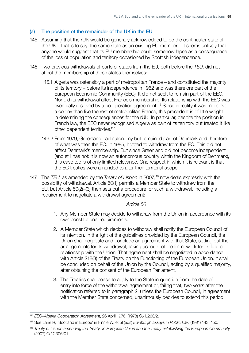#### <span id="page-35-0"></span>(a) The position of the remainder of the UK in the EU

- 145. Assuming that the rUK would be generally acknowledged to be the continuator state of the UK – that is to say: the same state as an existing EU member – it seems unlikely that anyone would suggest that its EU membership could somehow lapse as a consequence of the loss of population and territory occasioned by Scottish independence.
- 146. Two previous withdrawals of parts of states from the EU, both before the *TEU*, did not affect the membership of those states themselves:
	- 146.1 Algeria was ostensibly a part of metropolitan France and constituted the majority of its territory – before its independence in 1962 and was therefore part of the European Economic Community (EEC). It did not seek to remain part of the EEC. Nor did its withdrawal affect France's membership. Its relationship with the EEC was eventually resolved by a co-operation agreement.116 Since in reality it was more like a colony than like the rest of metropolitan France, this precedent is of little weight in determining the consequences for the rUK. In particular, despite the position in French law, the EEC never recognised Algeria as part of its territory but treated it like other dependent territories.117
	- 146.2 From 1979, Greenland had autonomy but remained part of Denmark and therefore of what was then the EC. In 1985, it voted to withdraw from the EC. This did not affect Denmark's membership. But since Greenland did not become independent (and still has not: it is now an autonomous country within the Kingdom of Denmark), this case too is of only limited relevance. One respect in which it is relevant is that the EC treaties were amended to alter their territorial scope.
- 147. The *TEU*, as amended by the *Treaty of Lisbon* in 2007,<sup>118</sup> now deals expressly with the possibility of withdrawal. Article 50(1) permits a Member State to withdraw from the EU, but Article 50(2)–(3) then sets out a procedure for such a withdrawal, including a requirement to negotiate a withdrawal agreement:

#### *Article 50*

- 1. Any Member State may decide to withdraw from the Union in accordance with its own constitutional requirements.
- 2. A Member State which decides to withdraw shall notify the European Council of its intention. In the light of the guidelines provided by the European Council, the Union shall negotiate and conclude an agreement with that State, setting out the arrangements for its withdrawal, taking account of the framework for its future relationship with the Union. That agreement shall be negotiated in accordance with Article 218(3) of the Treaty on the Functioning of the European Union. It shall be concluded on behalf of the Union by the Council, acting by a qualified majority, after obtaining the consent of the European Parliament.
- 3. The Treaties shall cease to apply to the State in question from the date of entry into force of the withdrawal agreement or, failing that, two years after the notification referred to in paragraph 2, unless the European Council, in agreement with the Member State concerned, unanimously decides to extend this period.

<sup>116</sup> *EEC–Algeria Cooperation Agreement*, 26 April 1976, (1978) *OJ* L263/2.

<sup>117</sup> See Lane R, 'Scotland in Europe' in Finnie W, et al (eds) *Edinburgh Essays in Public Law* (1991) 143, 150.

<sup>&</sup>lt;sup>118</sup> Treaty of Lisbon amending the Treaty on European Union and the Treaty establishing the European Community (2007) *OJ* C306/01.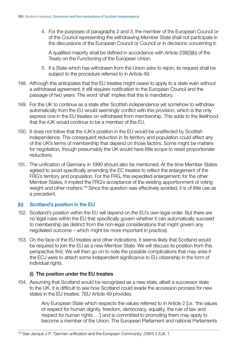<span id="page-36-0"></span>4. For the purposes of paragraphs 2 and 3, the member of the European Council or of the Council representing the withdrawing Member State shall not participate in the discussions of the European Council or Council or in decisions concerning it.

A qualified majority shall be defined in accordance with Article 238(3)(b) of the Treaty on the Functioning of the European Union.

- 5. If a State which has withdrawn from the Union asks to rejoin, its request shall be subject to the procedure referred to in Article 49.
- 148. Although this anticipates that the EU treaties might cease to apply to a state even without a withdrawal agreement, it still requires notification to the European Council and the passage of two years. The word 'shall' implies that this is mandatory.
- 149. For the UK to continue as a state after Scottish independence yet somehow to withdraw automatically from the EU would seemingly conflict with this provision, which is the only express one in the EU treaties on withdrawal from membership. This adds to the likelihood that the rUK would continue to be a member of the EU.
- 150. It does not follow that the rUK's position in the EU would be unaffected by Scottish independence. The consequent reduction in its territory and population could affect any of the UK's terms of membership that depend on those factors. Some might be matters for negotiation, though presumably the UK would have little scope to resist proportionate reductions.
- 151. The unification of Germany in 1990 should also be mentioned. At the time Member States agreed to avoid specifically amending the EC treaties to reflect the enlargement of the FRG's territory and population. For the FRG, this expedited enlargement; for the other Member States, it implied the FRG's acceptance of the existing apportionment of voting weight and other matters.<sup>119</sup> Since the question was effectively avoided, it is of little use as a precedent.

#### (b) Scotland's position in the EU

- 152. Scotland's position within the EU will depend on the EU's own legal order. But there are no legal rules within the EU that specifically govern whether it can automatically succeed to membership (as distinct from the non-legal considerations that might govern any negotiated outcome – which might be more important in practice).
- 153. On the face of the EU treaties and other indications, it seems likely that Scotland would be required to join the EU as a new Member State. We will discuss its position from this perspective first. We will then go on to note the possible complications that may arise if the ECJ were to attach some independent significance to EU citizenship in the form of individual rights.

#### (i) The position under the EU treaties

154. Assuming that Scotland would be recognised as a new state, albeit a successor state to the UK, it is difficult to see how Scotland could evade the accession process for new states in the EU treaties. *TEU* Article 49 provides:

> Any European State which respects the values referred to in Article 2 [i.e. 'the values of respect for human dignity, freedom, democracy, equality, the rule of law and respect for human rights ...'] and is committed to promoting them may apply to become a member of the Union. The European Parliament and national Parliaments

<sup>119</sup> See Jacqué J-P, 'German unification and the European Community' (1991) 2 *EJIL* 1.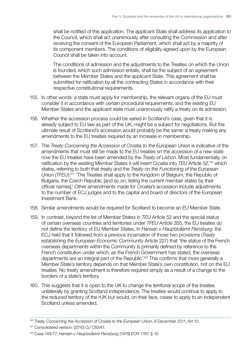shall be notified of this application. The applicant State shall address its application to the Council, which shall act unanimously after consulting the Commission and after receiving the consent of the European Parliament, which shall act by a majority of its component members. The conditions of eligibility agreed upon by the European Council shall be taken into account.

The conditions of admission and the adjustments to the Treaties on which the Union is founded, which such admission entails, shall be the subject of an agreement between the Member States and the applicant State. This agreement shall be submitted for ratification by all the contracting States in accordance with their respective constitutional requirements.

- 155. In other words: a state must apply for membership, the relevant organs of the EU must consider it in accordance with certain procedural requirements, and the existing EU Member States and the applicant state must unanimously ratify a treaty on its admission.
- 156. Whether the accession process could be varied in Scotland's case, given that it is already subject to EU law as part of the UK, might be a subject for negotiations. But the ultimate result of Scotland's accession would probably be the same: a treaty making any amendments to the EU treaties required by an increase in membership.
- 157. The *Treaty Concerning the Accession of Croatia to the European Union* is indicative of the amendments that must still be made to the EU treaties on the accession of a new state now the EU treaties have been amended by the *Treaty of Lisbon*. Most fundamentally, on ratification by the existing Member States it will insert Croatia into *TEU* Article 52,120 which states, referring to both that treaty and the *Treaty on the Functioning of the European Union (TFEU)*:<sup>121</sup> 'The Treaties shall apply to the Kingdom of Belgium, the Republic of Bulgaria, the Czech Republic [and so on, listing the current member states by their official names].' Other amendments made for Croatia's accession include adjustments to the number of ECJ judges and to the capital and board of directors of the European Investment Bank.
- 158. Similar amendments would be required for Scotland to become an EU Member State.
- 159. In contrast, beyond the list of Member States in *TEU* Article 52 and the special status of certain overseas countries and territories under *TFEU* Article 355, the EU treaties do not define the territory of EU Member States. In *Hansen v Hauptzollamt Flensburg*, the ECJ held that it followed from a previous incarnation of those two provisions (*Treaty establishing the European Economic Community* Article 227) that 'the status of the French overseas departments within the Community is primarily defined by reference to the French constitution under which, as the French Government has stated, the overseas departments are an integral part of the Republic'.122 This confirms that more generally a Member State's territory depends on that Member State's own constitution, not on the EU treaties. No treaty amendment is therefore required simply as a result of a change to the borders of a state's territory.
- 160. This suggests that it is open to the UK to change the territorial scope of the treaties unilaterally by granting Scotland independence. The treaties would continue to apply to the reduced territory of the rUK but would, on their face, cease to apply to an independent Scotland unless amended.

<sup>120</sup> *Treaty Concerning the Accession of Croatia to the European Union*, 9 December 2011, Art 13.

<sup>121</sup> Consolidated version: (2010) *OJ* C83/47.

<sup>122</sup> Case 148/77, *Hansen v Hauptzollamt Flensburg* [1978] ECR 1787, § 10.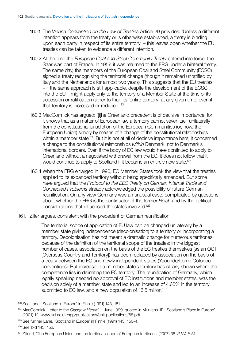- 160.1 The *Vienna Convention on the Law of Treaties* Article 29 provides: 'Unless a different intention appears from the treaty or is otherwise established, a treaty is binding upon each party in respect of its entire territory' – this leaves open whether the EU treaties can be taken to evidence a different intention.
- 160.2 At the time the *European Coal and Steel Community Treaty* entered into force, the Saar was part of France. In 1957, it was returned to the FRG under a bilateral treaty. The same day, the members of the European Coal and Steel Community (ECSC) signed a treaty recognising the territorial change (though it remained unratified by Italy and the Netherlands for almost two years). This suggests that the EU treaties – if the same approach is still applicable, despite the development of the ECSC into the EU – might apply only to the territory of a Member State at the time of its accession or ratification rather to than its 'entire territory' at any given time, even if that territory is increased or reduced.<sup>123</sup>
- 160.3 MacCormick has argued: '[t]he Greenland precedent is of decisive importance, for it shows that as a matter of European law a territory cannot sever itself unilaterally from the constitutional jurisdiction of the European Communities (or, now, the European Union) simply by means of a change of the constitutional relationships within a member state<sup>'.124</sup> But it is not at all of decisive importance here; it concerned a change to the constitutional relationships *within* Denmark, not to Denmark's international borders. Even if the body of EC law would have continued to apply to Greenland without a negotiated withdrawal from the EC, it does not follow that it would continue to apply to Scotland if it became an entirely new state.<sup>125</sup>
- 160.4 When the FRG enlarged in 1990, EC Member States took the view that the treaties applied to its expanded territory without being specifically amended. But some have argued that the *Protocol to the EEC Treaty on German Internal Trade and Connected Problems* already acknowledged the possibility of future German reunification. On any view Germany was an unusual case, complicated by questions about whether the FRG is the continuator of the former *Reich* and by the political considerations that influenced the states involved.126
- 161. Ziller argues, consistent with the precedent of German reunification:

The territorial scope of application of EU law can be changed unilaterally by a member state giving independence (decolonisation) to a territory or incorporating a territory. Decolonisation has not meant a dramatic change for numerous territories, because of the definition of the territorial scope of the treaties: In the biggest number of cases, association on the basis of the EC treaties themselves (as an OCT [Overseas Country and Territory]) has been replaced by association on the basis of a treaty between the EC and newly independent states (Yaounde/Lome Cotonou conventions). But increase in a member state's territory has clearly shown where the competence lies in delimiting the EC territory: The reunification of Germany, which legally speaking needed no approval of EC institutions and member states, was the decision solely of a member state and led to an increase of 4.66% in the territory submitted to EC law, and a new population of 16.5 million.<sup>127</sup>

<sup>123</sup> See Lane, 'Scotland in Europe' in Finnie (1991) 143, 151.

<sup>124</sup> MacCormick, Letter to the *Glasgow Herald*, 1 June 1999, quoted in Murkens JE, 'Scotland's Place in Europe' (2001) 12, [www.ucl.ac.uk/spp/publications/unit-publications/68.pdf.](http://www.ucl.ac.uk/spp/publications/unit-publications/68.pdf) 

<sup>125</sup> See further Lane, 'Scotland in Europe' in Finnie (1991) 143, 150–1.

<sup>126</sup> See ibid 143, 152.

<sup>127</sup> Ziller J, 'The European Union and the territorial scope of European territories' (2007) 38 *VUWLR* 51.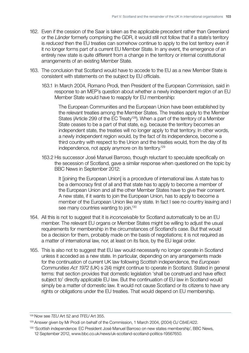- 162. Even if the cession of the Saar is taken as the applicable precedent rather than Greenland or the *Länder* formerly comprising the GDR, it would still not follow that if a state's territory is *reduced* then the EU treaties can somehow continue to apply to the lost territory even if it no longer forms part of a current EU Member State. In any event, the emergence of an entirely new state is quite different from a change in the territory or internal constitutional arrangements of an existing Member State.
- 163. The conclusion that Scotland would have to accede to the EU as a new Member State is consistent with statements on the subject by EU officials.
	- 163.1 In March 2004, Romano Prodi, then President of the European Commission, said in response to an MEP's question about whether a newly independent region of an EU Member State would have to reapply for EU membership:

The European Communities and the European Union have been established by the relevant treaties among the Member States. The treaties apply to the Member States (Article 299 of the EC Treaty<sup>128</sup>). When a part of the territory of a Member State ceases to be a part of that state, e.g. because the territory becomes an independent state, the treaties will no longer apply to that territory. In other words, a newly independent region would, by the fact of its independence, become a third country with respect to the Union and the treaties would, from the day of its independence, not apply anymore on its territory.129

163.2 His successor José Manuel Barroso, though reluctant to speculate specifically on the secession of Scotland, gave a similar response when questioned on the topic by BBC News in September 2012:

It [joining the European Union] is a procedure of international law. A state has to be a democracy first of all and that state has to apply to become a member of the European Union and all the other Member States have to give their consent. A new state, if it wants to join the European Union, has to apply to become a member of the European Union like any state. In fact I see no country leaving and I see many countries wanting to join.<sup>130</sup>

- 164. All this is not to suggest that it is *inconceivable* for Scotland automatically to be an EU member. The relevant EU organs or Member States might be willing to adjust the usual requirements for membership in the circumstances of Scotland's case. But that would be a decision for them, probably made on the basis of negotiations; it is not required as a matter of international law, nor, at least on its face, by the EU legal order.
- 165. This is also not to suggest that EU law would necessarily no longer operate in Scotland unless it acceded as a new state. In particular, depending on any arrangements made for the continuation of current UK law following Scottish independence, the *European Communities Act 1972* (UK) s 2(4) might continue to operate in Scotland. Stated in general terms: that section provides that domestic legislation 'shall be construed and have effect subject to' directly applicable EU law. But the continuation of EU law in Scotland would simply be a matter of domestic law. It would not cause Scotland or its citizens to have any rights or obligations under the EU treaties. That would depend on EU membership.

<sup>128</sup> Now see *TEU* Art 52 and *TFEU* Art 355.

<sup>129</sup> Answer given by Mr Prodi on behalf of the Commission, 1 March 2004, (2004) *OJ* C84E/422.

<sup>130 &#</sup>x27;Scottish independence: EC President José Manuel Barroso on new states membership', BBC News, 12 September 2012, <www.bbc.co.uk/news/uk-scotland-scotland-politics-19567650>.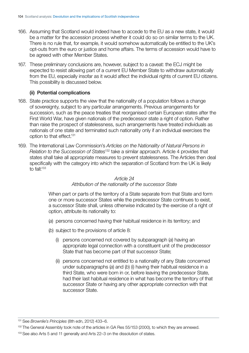- <span id="page-40-0"></span>166. Assuming that Scotland would indeed have to accede to the EU as a new state, it would be a matter for the accession process whether it could do so on similar terms to the UK. There is no rule that, for example, it would somehow automatically be entitled to the UK's opt-outs from the euro or justice and home affairs. The terms of accession would have to be agreed with other Member States.
- 167. These preliminary conclusions are, however, subject to a caveat: the ECJ might be expected to resist allowing part of a current EU Member State to withdraw automatically from the EU, especially insofar as it would affect the individual rights of current EU citizens. This possibility is discussed below.

#### (ii) Potential complications

- 168. State practice supports the view that the nationality of a population follows a change of sovereignty, subject to any particular arrangements. Previous arrangements for succession, such as the peace treaties that reorganised certain European states after the First World War, have given nationals of the predecessor state a right of option. Rather than raise the prospect of statelessness, such arrangements have treated individuals as nationals of one state and terminated such nationality only if an individual exercises the option to that effect.131
- 169. The International Law Commission's *Articles on the Nationality of Natural Persons in Relation to the Succession of States*132 take a similar approach. Article 4 provides that states shall take all appropriate measures to prevent statelessness. The Articles then deal specifically with the category into which the separation of Scotland from the UK is likely to fall:<sup>133</sup>

#### *Article 24*

#### *Attribution of the nationality of the successor State*

When part or parts of the territory of a State separate from that State and form one or more successor States while the predecessor State continues to exist, a successor State shall, unless otherwise indicated by the exercise of a right of option, attribute its nationality to:

- (*a*) persons concerned having their habitual residence in its territory; and
- (*b*) subject to the provisions of article 8:
	- (i) persons concerned not covered by subparagraph (*a*) having an appropriate legal connection with a constituent unit of the predecessor State that has become part of that successor State;
	- (ii) persons concerned not entitled to a nationality of any State concerned under subparagraphs (*a*) and (*b*) (i) having their habitual residence in a third State, who were born in or, before leaving the predecessor State, had their last habitual residence in what has become the territory of that successor State or having any other appropriate connection with that successor State.

<sup>131</sup> See *Brownlie's Principles* (8th edn, 2012) 433–6.

<sup>&</sup>lt;sup>132</sup> The General Assembly took note of the articles in GA Res 55/153 (2000), to which they are annexed.

<sup>&</sup>lt;sup>133</sup> See also Arts 5 and 11 generally and Arts 22–3 on the dissolution of states.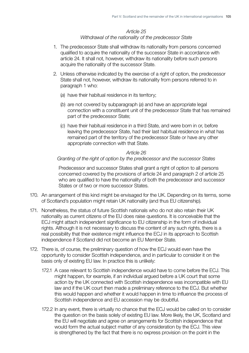### *Article 25*

#### *Withdrawal of the nationality of the predecessor State*

- 1. The predecessor State shall withdraw its nationality from persons concerned qualified to acquire the nationality of the successor State in accordance with article 24. It shall not, however, withdraw its nationality before such persons acquire the nationality of the successor State.
- 2. Unless otherwise indicated by the exercise of a right of option, the predecessor State shall not, however, withdraw its nationality from persons referred to in paragraph 1 who:
	- (*a*) have their habitual residence in its territory;
	- (*b*) are not covered by subparagraph (*a*) and have an appropriate legal connection with a constituent unit of the predecessor State that has remained part of the predecessor State;
	- (*c*) have their habitual residence in a third State, and were born in or, before leaving the predecessor State, had their last habitual residence in what has remained part of the territory of the predecessor State or have any other appropriate connection with that State.

#### *Article 26*

#### *Granting of the right of option by the predecessor and the successor States*

Predecessor and successor States shall grant a right of option to all persons concerned covered by the provisions of article 24 and paragraph 2 of article 25 who are qualified to have the nationality of both the predecessor and successor States or of two or more successor States.

- 170. An arrangement of this kind might be envisaged for the UK. Depending on its terms, some of Scotland's population might retain UK nationality (and thus EU citizenship).
- 171. Nonetheless, the status of future Scottish nationals who do not also retain their UK nationality as current citizens of the EU does raise questions. It is conceivable that the ECJ might attach independent significance to EU citizenship in the form of individual rights. Although it is not necessary to discuss the content of any such rights, there is a real possibility that their existence might influence the ECJ in its approach to Scottish independence if Scotland did not become an EU Member State.
- 172. There is, of course, the preliminary question of how the ECJ would even have the opportunity to consider Scottish independence, and in particular to consider it on the basis only of existing EU law. In practice this is unlikely:
	- 172.1 A case relevant to Scottish independence would have to come before the ECJ. This might happen, for example, if an individual argued before a UK court that some action by the UK connected with Scottish independence was incompatible with EU law and if the UK court then made a preliminary reference to the ECJ. But whether this would happen and whether it would happen in time to influence the process of Scottish independence and EU accession may be doubtful.
	- 172.2 In any event, there is virtually no chance that the ECJ would be called on to consider the question on the basis solely of existing EU law. More likely, the UK, Scotland and the EU will negotiate and agree on arrangements for Scottish independence that would form the actual subject matter of any consideration by the ECJ. This view is strengthened by the fact that there is no express provision on the point in the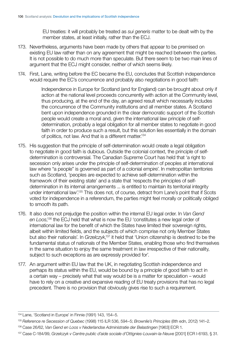EU treaties: it will probably be treated as *sui generis* matter to be dealt with by the member states, at least initially, rather than the ECJ.

- 173. Nevertheless, arguments have been made by others that appear to be premised on existing EU law rather than on any agreement that might be reached between the parties. It is not possible to do much more than speculate. But there seem to be two main lines of argument that the ECJ might consider, neither of which seems likely.
- 174. First, Lane, writing before the EC became the EU, concludes that Scottish independence would require the EC's concurrence and probably also negotiations in good faith:

Independence in Europe for Scotland (and for England) can be brought about only if action at the national level proceeds concurrently with action at the Community level, thus producing, at the end of the day, an agreed result which necessarily includes the concurrence of the Community institutions and all member states. A Scotland bent upon independence grounded in the clear democratic support of the Scottish people would create a moral and, given the international law principle of selfdetermination, probably a legal obligation for all member states to negotiate in good faith in order to produce such a result, but this solution lies essentially in the domain of politics, not law. And that is a different matter.<sup>134</sup>

- 175. His suggestion that the principle of self-determination would create a legal obligation to negotiate in good faith is dubious. Outside the colonial context, the principle of selfdetermination is controversial. The Canadian Supreme Court has held that 'a right to secession only arises under the principle of self-determination of peoples at international law where "a people" is governed as part of a colonial empire'. In metropolitan territories such as Scotland, 'peoples are expected to achieve self-determination within the framework of their existing state' and a state that 'respects the principles of selfdetermination in its internal arrangements ... is entitled to maintain its territorial integrity under international law'.135 This does not, of course, detract from Lane's point that if Scots voted for independence in a referendum, the parties might feel morally or politically obliged to smooth its path.
- 176. It also does not prejudge the position within the internal EU legal order. In *Van Gend*  en Loos,<sup>136</sup> the ECJ held that what is now the EU 'constitutes a new legal order of international law for the benefit of which the States have limited their sovereign rights, albeit within limited fields, and the subjects of which comprise not only Member States but also their nationals'. In *Grzelczyk*,<sup>137</sup> it held that 'Union citizenship is destined to be the fundamental status of nationals of the Member States, enabling those who find themselves in the same situation to enjoy the same treatment in law irrespective of their nationality, subject to such exceptions as are expressly provided for'.
- 177. An argument within EU law that the UK, in negotiating Scottish independence and perhaps its status within the EU, would be bound by a principle of good faith to act in a certain way – precisely what that way would be is a matter for speculation – would have to rely on a creative and expansive reading of EU treaty provisions that has no legal precedent. There is no provision that obviously gives rise to such a requirement.

136 Case 26/62, Van Gend en Loos v Nederlandse Administratie der Belastingen [1963] ECR 1.

 $134$  Lane, 'Scotland in Europe' in Finnie (1991) 143, 154–5.

<sup>135</sup> *Reference re Secession of Quebec* (1998) 115 ILR 536, 594–5; *Brownlie's Principles* (8th edn, 2012) 141–2.

 137 Case C-184/99, *Grzelczyk v Centre public d'aide sociale d'Ottignies-Louvain-la-Neuve* [2001] ECR I-6193, § 31.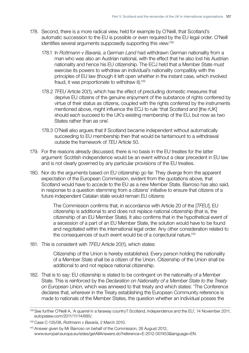- 178. Second, there is a more radical view, held for example by O'Neill, that Scotland's automatic succession to the EU is possible or even required by the EU legal order. O'Neill identifies several arguments supposedly supporting this view:<sup>138</sup>
	- 178.1 In *Rottmann v Bavaria*, a German *Land* had withdrawn German nationality from a man who was also an Austrian national, with the effect that he also lost his Austrian nationality and hence his EU citizenship. The ECJ held that a Member State must exercise its powers to withdraw an individual's nationality compatibly with the principles of EU law (though it left open whether in the instant case, which involved fraud, it was proportionate to withdraw it).139
	- 178.2 *TFEU* Article 20(1), which has the effect of precluding domestic measures that deprive EU citizens of the genuine enjoyment of the substance of rights conferred by virtue of their status as citizens, coupled with the rights conferred by the instruments mentioned above, might influence the ECJ to rule 'that Scotland and [the rUK] should *each* succeed to the UK's existing membership of the EU, but now as two States rather than as one'.
	- 178.3 O'Neill also argues that if Scotland became independent without automatically succeeding to EU membership then that would be tantamount to a withdrawal outside the framework of *TEU* Article 50.
- 179. For the reasons already discussed, there is no basis in the EU treaties for the latter argument: Scottish independence would be an event without a clear precedent in EU law and is not clearly governed by any particular provisions of the EU treaties.
- 180. Nor do the arguments based on EU citizenship go far. They diverge from the apparent expectation of the European Commission, evident from the quotations above, that Scotland would have to accede to the EU as a new Member State. Barroso has also said, in response to a question stemming from a citizens' initiative to ensure that citizens of a future independent Catalan state would remain EU citizens:

The Commission confirms that, in accordance with Article 20 of the [*TFEU*], EU citizenship is additional to and does not replace national citizenship (that is, the citizenship of an EU Member State). It also confirms that in the hypothetical event of a secession of a part of an EU Member State, the solution would have to be found and negotiated within the international legal order. Any other consideration related to the consequences of such event would be of a conjectural nature.<sup>140</sup>

181. This is consistent with *TFEU* Article 20(1), which states:

Citizenship of the Union is hereby established. Every person holding the nationality of a Member State shall be a citizen of the Union. Citizenship of the Union shall be additional to and not replace national citizenship.

182. That is to say: EU citizenship is stated to be contingent on the nationality of a Member State. This is reinforced by the *Declaration on Nationality of a Member State to the Treaty on European Union*, which was annexed to that treaty and which states: 'The Conference declares that, wherever in the Treaty establishing the European Community reference is made to nationals of the Member States, the question whether an individual posses the

<sup>138</sup> See further O'Neill A, 'A quarrel in a faraway country? Scotland, independence and the EU', 14 November 2011, <eutopialaw.com/2011/11/14/685/>.

<sup>139</sup> Case C-135/08, *Rottmann v Bavaria*, 2 March 2010.

<sup>&</sup>lt;sup>140</sup> Answer given by Mr Barroso on behalf of the Commission, 28 August 2012, [www.europarl.europa.eu/sides/getAllAnswers.do?reference=E-2012-007453&language=EN.](www.europarl.europa.eu/sides/getAllAnswers.do?reference=E-2012-007453&language=EN)